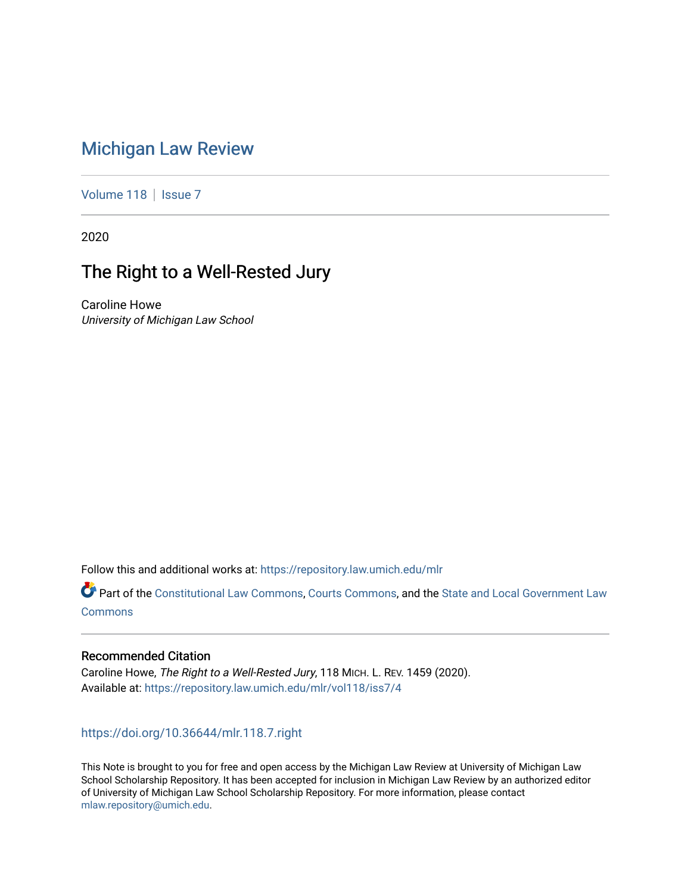# [Michigan Law Review](https://repository.law.umich.edu/mlr)

[Volume 118](https://repository.law.umich.edu/mlr/vol118) | [Issue 7](https://repository.law.umich.edu/mlr/vol118/iss7)

2020

# The Right to a Well-Rested Jury

Caroline Howe University of Michigan Law School

Follow this and additional works at: [https://repository.law.umich.edu/mlr](https://repository.law.umich.edu/mlr?utm_source=repository.law.umich.edu%2Fmlr%2Fvol118%2Fiss7%2F4&utm_medium=PDF&utm_campaign=PDFCoverPages) 

Part of the [Constitutional Law Commons,](http://network.bepress.com/hgg/discipline/589?utm_source=repository.law.umich.edu%2Fmlr%2Fvol118%2Fiss7%2F4&utm_medium=PDF&utm_campaign=PDFCoverPages) [Courts Commons,](http://network.bepress.com/hgg/discipline/839?utm_source=repository.law.umich.edu%2Fmlr%2Fvol118%2Fiss7%2F4&utm_medium=PDF&utm_campaign=PDFCoverPages) and the [State and Local Government Law](http://network.bepress.com/hgg/discipline/879?utm_source=repository.law.umich.edu%2Fmlr%2Fvol118%2Fiss7%2F4&utm_medium=PDF&utm_campaign=PDFCoverPages) **[Commons](http://network.bepress.com/hgg/discipline/879?utm_source=repository.law.umich.edu%2Fmlr%2Fvol118%2Fiss7%2F4&utm_medium=PDF&utm_campaign=PDFCoverPages)** 

## Recommended Citation

Caroline Howe, The Right to a Well-Rested Jury, 118 MICH. L. REV. 1459 (2020). Available at: [https://repository.law.umich.edu/mlr/vol118/iss7/4](https://repository.law.umich.edu/mlr/vol118/iss7/4?utm_source=repository.law.umich.edu%2Fmlr%2Fvol118%2Fiss7%2F4&utm_medium=PDF&utm_campaign=PDFCoverPages) 

<https://doi.org/10.36644/mlr.118.7.right>

This Note is brought to you for free and open access by the Michigan Law Review at University of Michigan Law School Scholarship Repository. It has been accepted for inclusion in Michigan Law Review by an authorized editor of University of Michigan Law School Scholarship Repository. For more information, please contact [mlaw.repository@umich.edu.](mailto:mlaw.repository@umich.edu)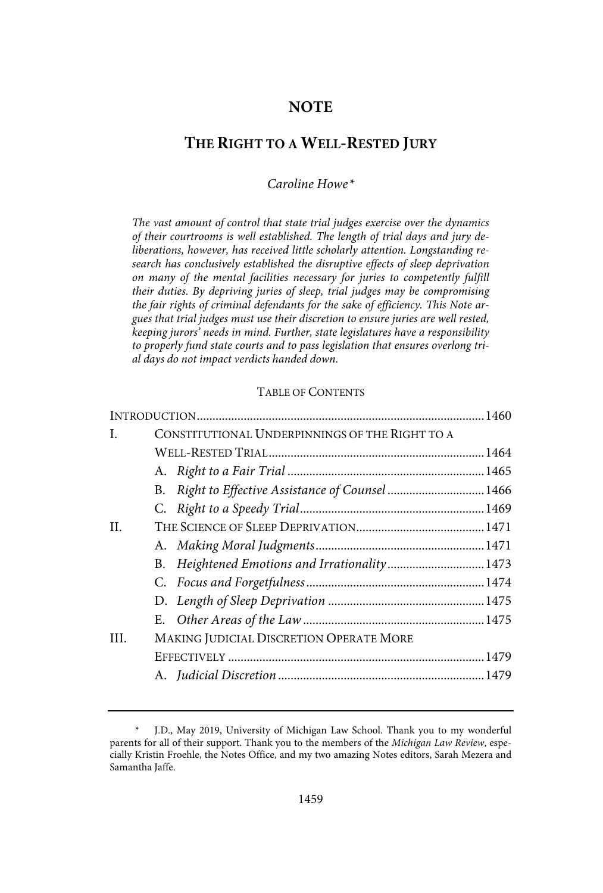## **NOTE**

## **THE RIGHT TO A WELL-RESTED JURY**

## Caroline Howe\*

The vast amount of control that state trial judges exercise over the dynamics of their courtrooms is well established. The length of trial days and jury deliberations, however, has received little scholarly attention. Longstanding research has conclusively established the disruptive effects of sleep deprivation on many of the mental facilities necessary for juries to competently fulfill their duties. By depriving juries of sleep, trial judges may be compromising the fair rights of criminal defendants for the sake of efficiency. This Note argues that trial judges must use their discretion to ensure juries are well rested, keeping jurors' needs in mind. Further, state legislatures have a responsibility to properly fund state courts and to pass legislation that ensures overlong trial days do not impact verdicts handed down.

#### TABLE OF CONTENTS

| L.      | CONSTITUTIONAL UNDERPINNINGS OF THE RIGHT TO A       |  |
|---------|------------------------------------------------------|--|
|         |                                                      |  |
|         |                                                      |  |
|         | Right to Effective Assistance of Counsel  1466<br>B. |  |
|         |                                                      |  |
| $\Pi$ . |                                                      |  |
|         |                                                      |  |
|         | B.                                                   |  |
|         |                                                      |  |
|         |                                                      |  |
|         |                                                      |  |
| HL.     | MAKING JUDICIAL DISCRETION OPERATE MORE              |  |
|         |                                                      |  |
|         |                                                      |  |
|         |                                                      |  |

J.D., May 2019, University of Michigan Law School. Thank you to my wonderful parents for all of their support. Thank you to the members of the Michigan Law Review, especially Kristin Froehle, the Notes Office, and my two amazing Notes editors, Sarah Mezera and Samantha Jaffe.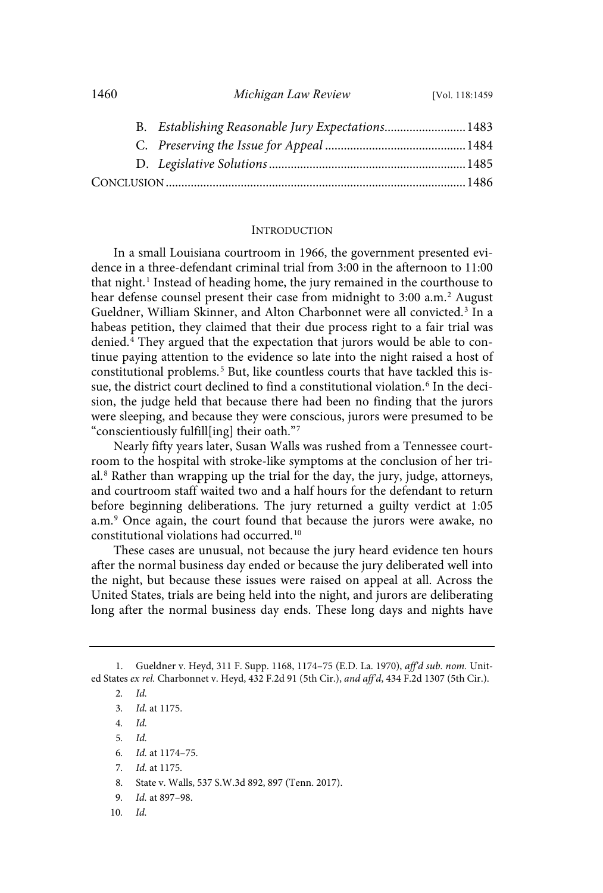|  | B. Establishing Reasonable Jury Expectations 1483 |  |
|--|---------------------------------------------------|--|
|  |                                                   |  |
|  |                                                   |  |
|  |                                                   |  |

1460 *Michigan Law Review* [Vol. 118:1459

#### INTRODUCTION

In a small Louisiana courtroom in 1966, the government presented evidence in a three-defendant criminal trial from 3:00 in the afternoon to 11:00 that night.<sup>1</sup> Instead of heading home, the jury remained in the courthouse to hear defense counsel present their case from midnight to 3:00 a.m. <sup>2</sup> August Gueldner, William Skinner, and Alton Charbonnet were all convicted.<sup>3</sup> In a habeas petition, they claimed that their due process right to a fair trial was denied. $4$  They argued that the expectation that jurors would be able to continue paying attention to the evidence so late into the night raised a host of constitutional problems.<sup>5</sup> But, like countless courts that have tackled this issue, the district court declined to find a constitutional violation. 6 In the decision, the judge held that because there had been no finding that the jurors were sleeping, and because they were conscious, jurors were presumed to be "conscientiously fulfill[ing] their oath."<sup>7</sup>

Nearly fifty years later, Susan Walls was rushed from a Tennessee courtroom to the hospital with stroke-like symptoms at the conclusion of her trial. <sup>8</sup> Rather than wrapping up the trial for the day, the jury, judge, attorneys, and courtroom staff waited two and a half hours for the defendant to return before beginning deliberations. The jury returned a guilty verdict at 1:05 a.m. <sup>9</sup> Once again, the court found that because the jurors were awake, no constitutional violations had occurred.<sup>10</sup>

These cases are unusual, not because the jury heard evidence ten hours after the normal business day ended or because the jury deliberated well into the night, but because these issues were raised on appeal at all. Across the United States, trials are being held into the night, and jurors are deliberating long after the normal business day ends. These long days and nights have

2. Id.

<sup>1.</sup> Gueldner v. Heyd, 311 F. Supp. 1168, 1174–75 (E.D. La. 1970), aff'd sub. nom. United States ex rel. Charbonnet v. Heyd, 432 F.2d 91 (5th Cir.), and aff'd, 434 F.2d 1307 (5th Cir.).

<sup>3</sup>. Id. at 1175.

<sup>4</sup>. Id.

<sup>5</sup>. Id.

<sup>6</sup>. Id. at 1174–75.

<sup>7</sup>. Id. at 1175.

<sup>8.</sup> State v. Walls, 537 S.W.3d 892, 897 (Tenn. 2017).

<sup>9</sup>. Id. at 897–98.

<sup>10</sup>. Id.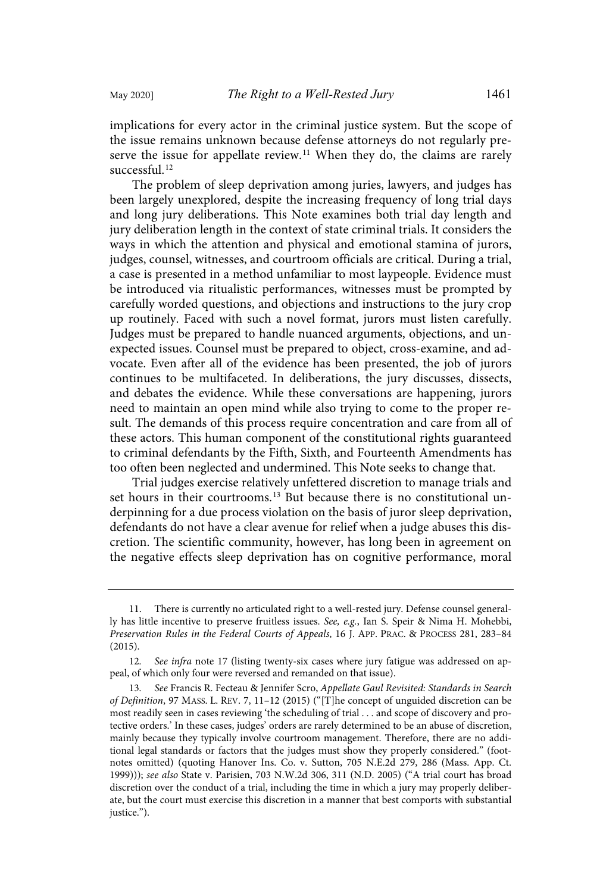implications for every actor in the criminal justice system. But the scope of the issue remains unknown because defense attorneys do not regularly preserve the issue for appellate review.<sup>11</sup> When they do, the claims are rarely successful. 12

The problem of sleep deprivation among juries, lawyers, and judges has been largely unexplored, despite the increasing frequency of long trial days and long jury deliberations. This Note examines both trial day length and jury deliberation length in the context of state criminal trials. It considers the ways in which the attention and physical and emotional stamina of jurors, judges, counsel, witnesses, and courtroom officials are critical. During a trial, a case is presented in a method unfamiliar to most laypeople. Evidence must be introduced via ritualistic performances, witnesses must be prompted by carefully worded questions, and objections and instructions to the jury crop up routinely. Faced with such a novel format, jurors must listen carefully. Judges must be prepared to handle nuanced arguments, objections, and unexpected issues. Counsel must be prepared to object, cross-examine, and advocate. Even after all of the evidence has been presented, the job of jurors continues to be multifaceted. In deliberations, the jury discusses, dissects, and debates the evidence. While these conversations are happening, jurors need to maintain an open mind while also trying to come to the proper result. The demands of this process require concentration and care from all of these actors. This human component of the constitutional rights guaranteed to criminal defendants by the Fifth, Sixth, and Fourteenth Amendments has too often been neglected and undermined. This Note seeks to change that.

Trial judges exercise relatively unfettered discretion to manage trials and set hours in their courtrooms.<sup>13</sup> But because there is no constitutional underpinning for a due process violation on the basis of juror sleep deprivation, defendants do not have a clear avenue for relief when a judge abuses this discretion. The scientific community, however, has long been in agreement on the negative effects sleep deprivation has on cognitive performance, moral

<sup>11.</sup> There is currently no articulated right to a well-rested jury. Defense counsel generally has little incentive to preserve fruitless issues. See, e.g., Ian S. Speir & Nima H. Mohebbi, Preservation Rules in the Federal Courts of Appeals, 16 J. APP. PRAC. & PROCESS 281, 283–84 (2015).

<sup>12</sup>. See infra note 17 (listing twenty-six cases where jury fatigue was addressed on appeal, of which only four were reversed and remanded on that issue).

<sup>13</sup>. See Francis R. Fecteau & Jennifer Scro, Appellate Gaul Revisited: Standards in Search of Definition, 97 MASS. L. REV. 7, 11–12 (2015) ("[T]he concept of unguided discretion can be most readily seen in cases reviewing 'the scheduling of trial . . . and scope of discovery and protective orders.' In these cases, judges' orders are rarely determined to be an abuse of discretion, mainly because they typically involve courtroom management. Therefore, there are no additional legal standards or factors that the judges must show they properly considered." (footnotes omitted) (quoting Hanover Ins. Co. v. Sutton, 705 N.E.2d 279, 286 (Mass. App. Ct. 1999))); see also State v. Parisien, 703 N.W.2d 306, 311 (N.D. 2005) ("A trial court has broad discretion over the conduct of a trial, including the time in which a jury may properly deliberate, but the court must exercise this discretion in a manner that best comports with substantial justice.").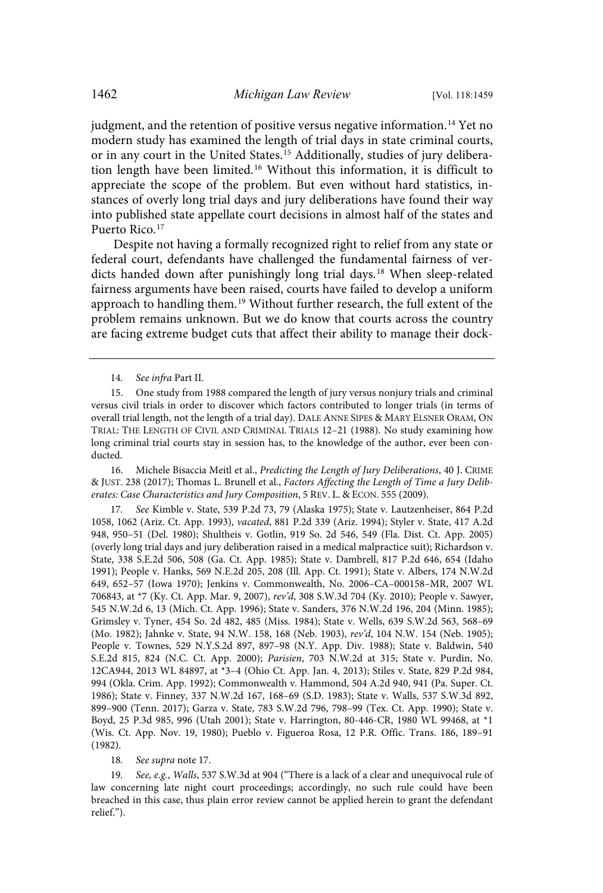judgment, and the retention of positive versus negative information.<sup>14</sup> Yet no modern study has examined the length of trial days in state criminal courts, or in any court in the United States. <sup>15</sup> Additionally, studies of jury deliberation length have been limited.<sup>16</sup> Without this information, it is difficult to appreciate the scope of the problem. But even without hard statistics, instances of overly long trial days and jury deliberations have found their way into published state appellate court decisions in almost half of the states and Puerto Rico. 17

Despite not having a formally recognized right to relief from any state or federal court, defendants have challenged the fundamental fairness of verdicts handed down after punishingly long trial days. <sup>18</sup> When sleep-related fairness arguments have been raised, courts have failed to develop a uniform approach to handling them.<sup>19</sup> Without further research, the full extent of the problem remains unknown. But we do know that courts across the country are facing extreme budget cuts that affect their ability to manage their dock-

16. Michele Bisaccia Meitl et al., Predicting the Length of Jury Deliberations, 40 J. CRIME & JUST. 238 (2017); Thomas L. Brunell et al., Factors Affecting the Length of Time a Jury Deliberates: Case Characteristics and Jury Composition, 5 REV. L. & ECON. 555 (2009).

17. See Kimble v. State, 539 P.2d 73, 79 (Alaska 1975); State v. Lautzenheiser, 864 P.2d 1058, 1062 (Ariz. Ct. App. 1993), vacated, 881 P.2d 339 (Ariz. 1994); Styler v. State, 417 A.2d 948, 950–51 (Del. 1980); Shultheis v. Gotlin, 919 So. 2d 546, 549 (Fla. Dist. Ct. App. 2005) (overly long trial days and jury deliberation raised in a medical malpractice suit); Richardson v. State, 338 S.E.2d 506, 508 (Ga. Ct. App. 1985); State v. Dambrell, 817 P.2d 646, 654 (Idaho 1991); People v. Hanks, 569 N.E.2d 205, 208 (Ill. App. Ct. 1991); State v. Albers, 174 N.W.2d 649, 652–57 (Iowa 1970); Jenkins v. Commonwealth, No. 2006–CA–000158–MR, 2007 WL 706843, at \*7 (Ky. Ct. App. Mar. 9, 2007), rev'd, 308 S.W.3d 704 (Ky. 2010); People v. Sawyer, 545 N.W.2d 6, 13 (Mich. Ct. App. 1996); State v. Sanders, 376 N.W.2d 196, 204 (Minn. 1985); Grimsley v. Tyner, 454 So. 2d 482, 485 (Miss. 1984); State v. Wells, 639 S.W.2d 563, 568–69 (Mo. 1982); Jahnke v. State, 94 N.W. 158, 168 (Neb. 1903), rev'd, 104 N.W. 154 (Neb. 1905); People v. Townes, 529 N.Y.S.2d 897, 897–98 (N.Y. App. Div. 1988); State v. Baldwin, 540 S.E.2d 815, 824 (N.C. Ct. App. 2000); Parisien, 703 N.W.2d at 315; State v. Purdin, No. 12CA944, 2013 WL 84897, at \*3–4 (Ohio Ct. App. Jan. 4, 2013); Stiles v. State, 829 P.2d 984, 994 (Okla. Crim. App. 1992); Commonwealth v. Hammond, 504 A.2d 940, 941 (Pa. Super. Ct. 1986); State v. Finney, 337 N.W.2d 167, 168–69 (S.D. 1983); State v. Walls, 537 S.W.3d 892, 899–900 (Tenn. 2017); Garza v. State, 783 S.W.2d 796, 798–99 (Tex. Ct. App. 1990); State v. Boyd, 25 P.3d 985, 996 (Utah 2001); State v. Harrington, 80-446-CR, 1980 WL 99468, at \*1 (Wis. Ct. App. Nov. 19, 1980); Pueblo v. Figueroa Rosa, 12 P.R. Offic. Trans. 186, 189–91 (1982).

#### 18. See supra note 17.

19. See, e.g., Walls, 537 S.W.3d at 904 ("There is a lack of a clear and unequivocal rule of law concerning late night court proceedings; accordingly, no such rule could have been breached in this case, thus plain error review cannot be applied herein to grant the defendant relief.").

<sup>14</sup>. See infra Part II.

<sup>15.</sup> One study from 1988 compared the length of jury versus nonjury trials and criminal versus civil trials in order to discover which factors contributed to longer trials (in terms of overall trial length, not the length of a trial day). DALE ANNE SIPES & MARY ELSNER ORAM, ON TRIAL: THE LENGTH OF CIVIL AND CRIMINAL TRIALS 12–21 (1988). No study examining how long criminal trial courts stay in session has, to the knowledge of the author, ever been conducted.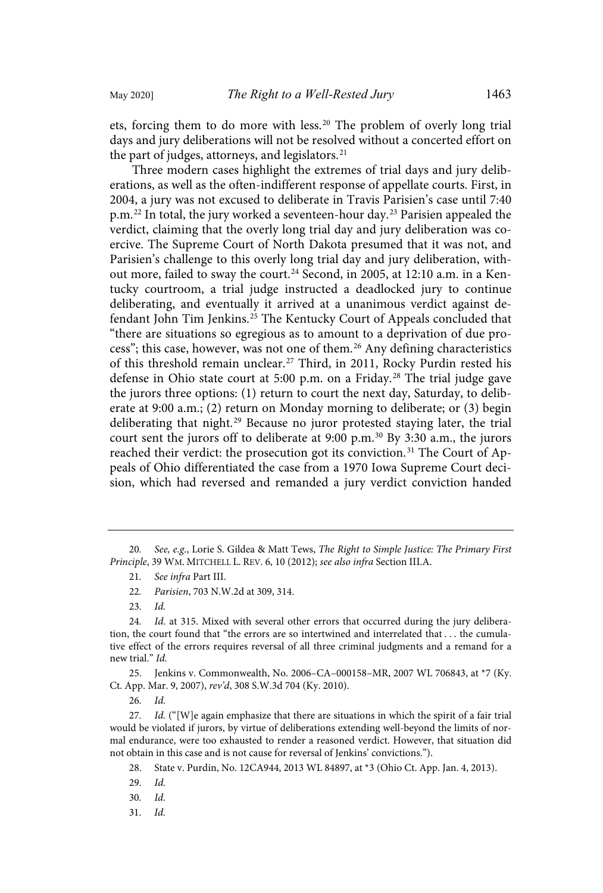ets, forcing them to do more with less.<sup>20</sup> The problem of overly long trial days and jury deliberations will not be resolved without a concerted effort on the part of judges, attorneys, and legislators.<sup>21</sup>

Three modern cases highlight the extremes of trial days and jury deliberations, as well as the often-indifferent response of appellate courts. First, in 2004, a jury was not excused to deliberate in Travis Parisien's case until 7:40 p.m.<sup>22</sup> In total, the jury worked a seventeen-hour day.<sup>23</sup> Parisien appealed the verdict, claiming that the overly long trial day and jury deliberation was coercive. The Supreme Court of North Dakota presumed that it was not, and Parisien's challenge to this overly long trial day and jury deliberation, without more, failed to sway the court. <sup>24</sup> Second, in 2005, at 12:10 a.m. in a Kentucky courtroom, a trial judge instructed a deadlocked jury to continue deliberating, and eventually it arrived at a unanimous verdict against defendant John Tim Jenkins. <sup>25</sup> The Kentucky Court of Appeals concluded that "there are situations so egregious as to amount to a deprivation of due process"; this case, however, was not one of them.<sup>26</sup> Any defining characteristics of this threshold remain unclear.<sup>27</sup> Third, in 2011, Rocky Purdin rested his defense in Ohio state court at 5:00 p.m. on a Friday.<sup>28</sup> The trial judge gave the jurors three options: (1) return to court the next day, Saturday, to deliberate at 9:00 a.m.; (2) return on Monday morning to deliberate; or (3) begin deliberating that night.<sup>29</sup> Because no juror protested staying later, the trial court sent the jurors off to deliberate at 9:00 p.m.<sup>30</sup> By 3:30 a.m., the jurors reached their verdict: the prosecution got its conviction. <sup>31</sup> The Court of Appeals of Ohio differentiated the case from a 1970 Iowa Supreme Court decision, which had reversed and remanded a jury verdict conviction handed

25. Jenkins v. Commonwealth, No. 2006–CA–000158–MR, 2007 WL 706843, at \*7 (Ky. Ct. App. Mar. 9, 2007), rev'd, 308 S.W.3d 704 (Ky. 2010).

31. Id.

<sup>20</sup>. See, e.g., Lorie S. Gildea & Matt Tews, The Right to Simple Justice: The Primary First Principle, 39 WM. MITCHELL L. REV. 6, 10 (2012); see also infra Section III.A.

<sup>21</sup>. See infra Part III.

<sup>22</sup>. Parisien, 703 N.W.2d at 309, 314.

<sup>23</sup>. Id.

<sup>24.</sup> Id. at 315. Mixed with several other errors that occurred during the jury deliberation, the court found that "the errors are so intertwined and interrelated that . . . the cumulative effect of the errors requires reversal of all three criminal judgments and a remand for a new trial." Id.

<sup>26</sup>. Id.

<sup>27.</sup> Id. ("[W]e again emphasize that there are situations in which the spirit of a fair trial would be violated if jurors, by virtue of deliberations extending well-beyond the limits of normal endurance, were too exhausted to render a reasoned verdict. However, that situation did not obtain in this case and is not cause for reversal of Jenkins' convictions.").

<sup>28.</sup> State v. Purdin, No. 12CA944, 2013 WL 84897, at \*3 (Ohio Ct. App. Jan. 4, 2013).

<sup>29</sup>. Id.

<sup>30</sup>. Id.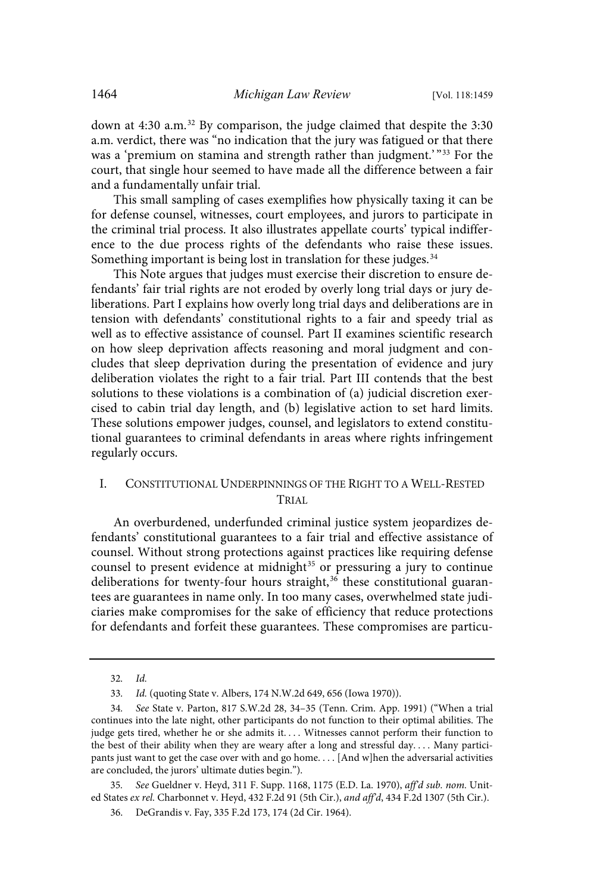down at 4:30 a.m. <sup>32</sup> By comparison, the judge claimed that despite the 3:30 a.m. verdict, there was "no indication that the jury was fatigued or that there was a 'premium on stamina and strength rather than judgment.' " <sup>33</sup> For the court, that single hour seemed to have made all the difference between a fair and a fundamentally unfair trial.

This small sampling of cases exemplifies how physically taxing it can be for defense counsel, witnesses, court employees, and jurors to participate in the criminal trial process. It also illustrates appellate courts' typical indifference to the due process rights of the defendants who raise these issues. Something important is being lost in translation for these judges.<sup>34</sup>

This Note argues that judges must exercise their discretion to ensure defendants' fair trial rights are not eroded by overly long trial days or jury deliberations. Part I explains how overly long trial days and deliberations are in tension with defendants' constitutional rights to a fair and speedy trial as well as to effective assistance of counsel. Part II examines scientific research on how sleep deprivation affects reasoning and moral judgment and concludes that sleep deprivation during the presentation of evidence and jury deliberation violates the right to a fair trial. Part III contends that the best solutions to these violations is a combination of (a) judicial discretion exercised to cabin trial day length, and (b) legislative action to set hard limits. These solutions empower judges, counsel, and legislators to extend constitutional guarantees to criminal defendants in areas where rights infringement regularly occurs.

## I. CONSTITUTIONAL UNDERPINNINGS OF THE RIGHT TO A WELL-RESTED TRIAL

An overburdened, underfunded criminal justice system jeopardizes defendants' constitutional guarantees to a fair trial and effective assistance of counsel. Without strong protections against practices like requiring defense counsel to present evidence at midnight <sup>35</sup> or pressuring a jury to continue deliberations for twenty-four hours straight, $36$  these constitutional guarantees are guarantees in name only. In too many cases, overwhelmed state judiciaries make compromises for the sake of efficiency that reduce protections for defendants and forfeit these guarantees. These compromises are particu-

35. See Gueldner v. Heyd, 311 F. Supp. 1168, 1175 (E.D. La. 1970), aff'd sub. nom. United States ex rel. Charbonnet v. Heyd, 432 F.2d 91 (5th Cir.), and aff'd, 434 F.2d 1307 (5th Cir.).

<sup>32</sup>. Id.

<sup>33</sup>. Id. (quoting State v. Albers, 174 N.W.2d 649, 656 (Iowa 1970)).

<sup>34</sup>. See State v. Parton, 817 S.W.2d 28, 34–35 (Tenn. Crim. App. 1991) ("When a trial continues into the late night, other participants do not function to their optimal abilities. The judge gets tired, whether he or she admits it. . . . Witnesses cannot perform their function to the best of their ability when they are weary after a long and stressful day. . . . Many participants just want to get the case over with and go home.... [And w]hen the adversarial activities are concluded, the jurors' ultimate duties begin.").

<sup>36.</sup> DeGrandis v. Fay, 335 F.2d 173, 174 (2d Cir. 1964).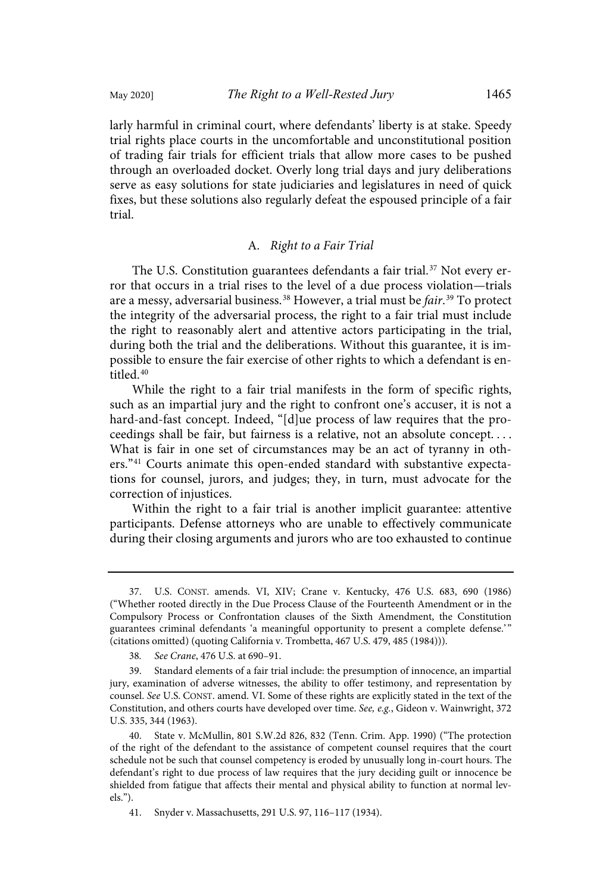larly harmful in criminal court, where defendants' liberty is at stake. Speedy trial rights place courts in the uncomfortable and unconstitutional position of trading fair trials for efficient trials that allow more cases to be pushed through an overloaded docket. Overly long trial days and jury deliberations serve as easy solutions for state judiciaries and legislatures in need of quick fixes, but these solutions also regularly defeat the espoused principle of a fair trial.

## A. Right to a Fair Trial

The U.S. Constitution guarantees defendants a fair trial.<sup>37</sup> Not every error that occurs in a trial rises to the level of a due process violation—trials are a messy, adversarial business.<sup>38</sup> However, a trial must be *fair*.<sup>39</sup> To protect the integrity of the adversarial process, the right to a fair trial must include the right to reasonably alert and attentive actors participating in the trial, during both the trial and the deliberations. Without this guarantee, it is impossible to ensure the fair exercise of other rights to which a defendant is entitled. 40

While the right to a fair trial manifests in the form of specific rights, such as an impartial jury and the right to confront one's accuser, it is not a hard-and-fast concept. Indeed, "[d]ue process of law requires that the proceedings shall be fair, but fairness is a relative, not an absolute concept. . . . What is fair in one set of circumstances may be an act of tyranny in others."<sup>41</sup> Courts animate this open-ended standard with substantive expectations for counsel, jurors, and judges; they, in turn, must advocate for the correction of injustices.

Within the right to a fair trial is another implicit guarantee: attentive participants. Defense attorneys who are unable to effectively communicate during their closing arguments and jurors who are too exhausted to continue

<sup>37.</sup> U.S. CONST. amends. VI, XIV; Crane v. Kentucky, 476 U.S. 683, 690 (1986) ("Whether rooted directly in the Due Process Clause of the Fourteenth Amendment or in the Compulsory Process or Confrontation clauses of the Sixth Amendment, the Constitution guarantees criminal defendants 'a meaningful opportunity to present a complete defense.' " (citations omitted) (quoting California v. Trombetta, 467 U.S. 479, 485 (1984))).

<sup>38</sup>. See Crane, 476 U.S. at 690–91.

<sup>39.</sup> Standard elements of a fair trial include: the presumption of innocence, an impartial jury, examination of adverse witnesses, the ability to offer testimony, and representation by counsel. See U.S. CONST. amend. VI. Some of these rights are explicitly stated in the text of the Constitution, and others courts have developed over time. See, e.g., Gideon v. Wainwright, 372 U.S. 335, 344 (1963).

<sup>40.</sup> State v. McMullin, 801 S.W.2d 826, 832 (Tenn. Crim. App. 1990) ("The protection of the right of the defendant to the assistance of competent counsel requires that the court schedule not be such that counsel competency is eroded by unusually long in-court hours. The defendant's right to due process of law requires that the jury deciding guilt or innocence be shielded from fatigue that affects their mental and physical ability to function at normal levels.").

<sup>41.</sup> Snyder v. Massachusetts, 291 U.S. 97, 116–117 (1934).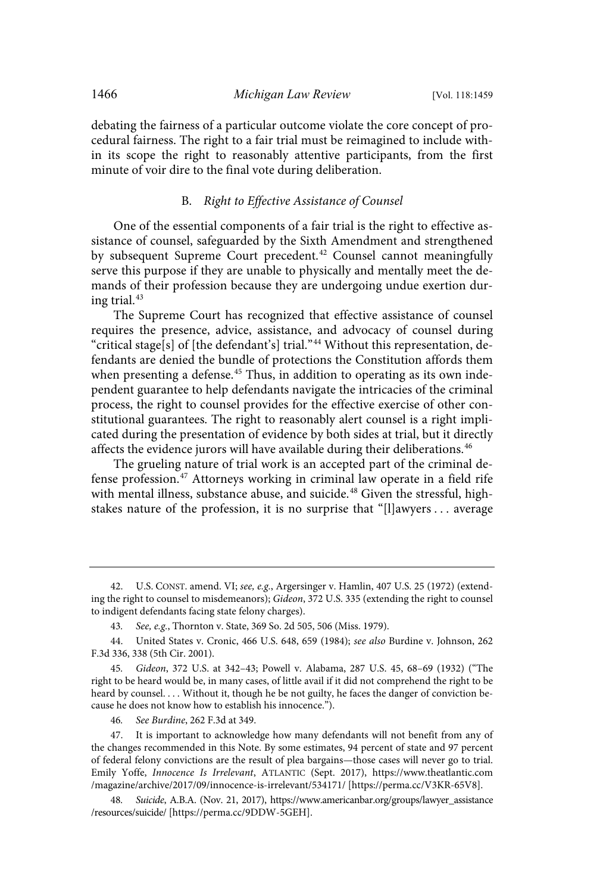debating the fairness of a particular outcome violate the core concept of procedural fairness. The right to a fair trial must be reimagined to include within its scope the right to reasonably attentive participants, from the first minute of voir dire to the final vote during deliberation.

## B. Right to Effective Assistance of Counsel

One of the essential components of a fair trial is the right to effective assistance of counsel, safeguarded by the Sixth Amendment and strengthened by subsequent Supreme Court precedent.<sup>42</sup> Counsel cannot meaningfully serve this purpose if they are unable to physically and mentally meet the demands of their profession because they are undergoing undue exertion during trial. 43

The Supreme Court has recognized that effective assistance of counsel requires the presence, advice, assistance, and advocacy of counsel during "critical stage[s] of [the defendant's] trial."<sup>44</sup> Without this representation, defendants are denied the bundle of protections the Constitution affords them when presenting a defense.<sup>45</sup> Thus, in addition to operating as its own independent guarantee to help defendants navigate the intricacies of the criminal process, the right to counsel provides for the effective exercise of other constitutional guarantees. The right to reasonably alert counsel is a right implicated during the presentation of evidence by both sides at trial, but it directly affects the evidence jurors will have available during their deliberations. 46

The grueling nature of trial work is an accepted part of the criminal defense profession. <sup>47</sup> Attorneys working in criminal law operate in a field rife with mental illness, substance abuse, and suicide.<sup>48</sup> Given the stressful, highstakes nature of the profession, it is no surprise that "[l]awyers . . . average

46. See Burdine, 262 F.3d at 349.

<sup>42.</sup> U.S. CONST. amend. VI; see, e.g., Argersinger v. Hamlin, 407 U.S. 25 (1972) (extending the right to counsel to misdemeanors); Gideon, 372 U.S. 335 (extending the right to counsel to indigent defendants facing state felony charges).

<sup>43</sup>. See, e.g., Thornton v. State, 369 So. 2d 505, 506 (Miss. 1979).

<sup>44.</sup> United States v. Cronic, 466 U.S. 648, 659 (1984); see also Burdine v. Johnson, 262 F.3d 336, 338 (5th Cir. 2001).

<sup>45</sup>. Gideon, 372 U.S. at 342–43; Powell v. Alabama, 287 U.S. 45, 68–69 (1932) ("The right to be heard would be, in many cases, of little avail if it did not comprehend the right to be heard by counsel. . . . Without it, though he be not guilty, he faces the danger of conviction because he does not know how to establish his innocence.").

<sup>47.</sup> It is important to acknowledge how many defendants will not benefit from any of the changes recommended in this Note. By some estimates, 94 percent of state and 97 percent of federal felony convictions are the result of plea bargains—those cases will never go to trial. Emily Yoffe, Innocence Is Irrelevant, ATLANTIC (Sept. 2017), https://www.theatlantic.com /magazine/archive/2017/09/innocence-is-irrelevant/534171/ [https://perma.cc/V3KR-65V8].

<sup>48</sup>. Suicide, A.B.A. (Nov. 21, 2017), https://www.americanbar.org/groups/lawyer\_assistance /resources/suicide/ [https://perma.cc/9DDW-5GEH].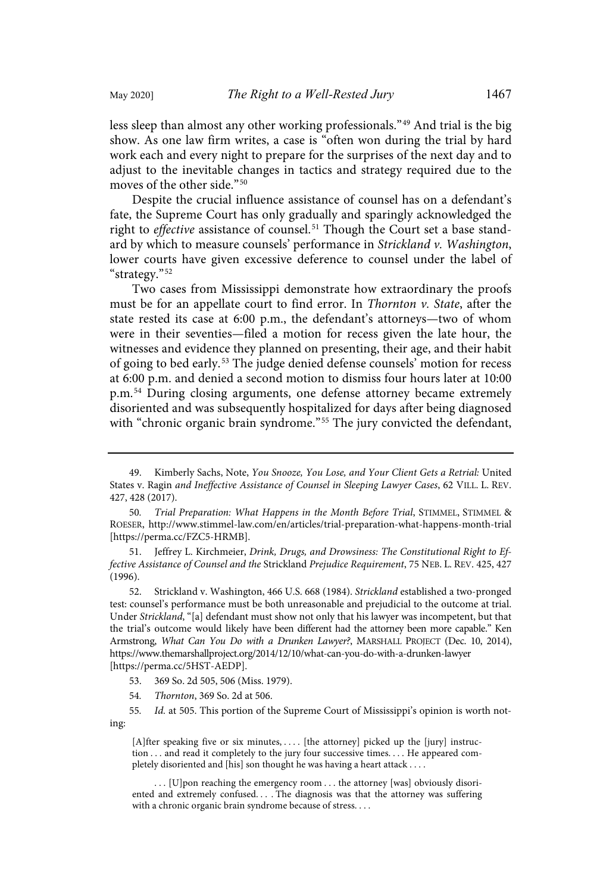less sleep than almost any other working professionals." <sup>49</sup> And trial is the big show. As one law firm writes, a case is "often won during the trial by hard work each and every night to prepare for the surprises of the next day and to adjust to the inevitable changes in tactics and strategy required due to the moves of the other side."<sup>50</sup>

Despite the crucial influence assistance of counsel has on a defendant's fate, the Supreme Court has only gradually and sparingly acknowledged the right to effective assistance of counsel.<sup>51</sup> Though the Court set a base standard by which to measure counsels' performance in Strickland v. Washington, lower courts have given excessive deference to counsel under the label of "strategy." 52

Two cases from Mississippi demonstrate how extraordinary the proofs must be for an appellate court to find error. In Thornton v. State, after the state rested its case at 6:00 p.m., the defendant's attorneys—two of whom were in their seventies—filed a motion for recess given the late hour, the witnesses and evidence they planned on presenting, their age, and their habit of going to bed early.<sup>53</sup> The judge denied defense counsels' motion for recess at 6:00 p.m. and denied a second motion to dismiss four hours later at 10:00 p.m.<sup>54</sup> During closing arguments, one defense attorney became extremely disoriented and was subsequently hospitalized for days after being diagnosed with "chronic organic brain syndrome."<sup>55</sup> The jury convicted the defendant,

51. Jeffrey L. Kirchmeier, Drink, Drugs, and Drowsiness: The Constitutional Right to Effective Assistance of Counsel and the Strickland Prejudice Requirement, 75 NEB. L. REV. 425, 427 (1996).

52. Strickland v. Washington, 466 U.S. 668 (1984). Strickland established a two-pronged test: counsel's performance must be both unreasonable and prejudicial to the outcome at trial. Under Strickland, "[a] defendant must show not only that his lawyer was incompetent, but that the trial's outcome would likely have been different had the attorney been more capable." Ken Armstrong, What Can You Do with a Drunken Lawyer?, MARSHALL PROJECT (Dec. 10, 2014), https://www.themarshallproject.org/2014/12/10/what-can-you-do-with-a-drunken-lawyer [https://perma.cc/5HST-AEDP].

- 53. 369 So. 2d 505, 506 (Miss. 1979).
- 54. Thornton, 369 So. 2d at 506.

55. Id. at 505. This portion of the Supreme Court of Mississippi's opinion is worth noting:

[A]fter speaking five or six minutes, .... [the attorney] picked up the [jury] instruction . . . and read it completely to the jury four successive times. . . . He appeared completely disoriented and [his] son thought he was having a heart attack . . . .

... [U]pon reaching the emergency room ... the attorney [was] obviously disoriented and extremely confused. . . . The diagnosis was that the attorney was suffering with a chronic organic brain syndrome because of stress. . . .

<sup>49.</sup> Kimberly Sachs, Note, You Snooze, You Lose, and Your Client Gets a Retrial: United States v. Ragin and Ineffective Assistance of Counsel in Sleeping Lawyer Cases, 62 VILL. L. REV. 427, 428 (2017).

<sup>50</sup>. Trial Preparation: What Happens in the Month Before Trial, STIMMEL, STIMMEL & ROESER, http://www.stimmel-law.com/en/articles/trial-preparation-what-happens-month-trial [https://perma.cc/FZC5-HRMB].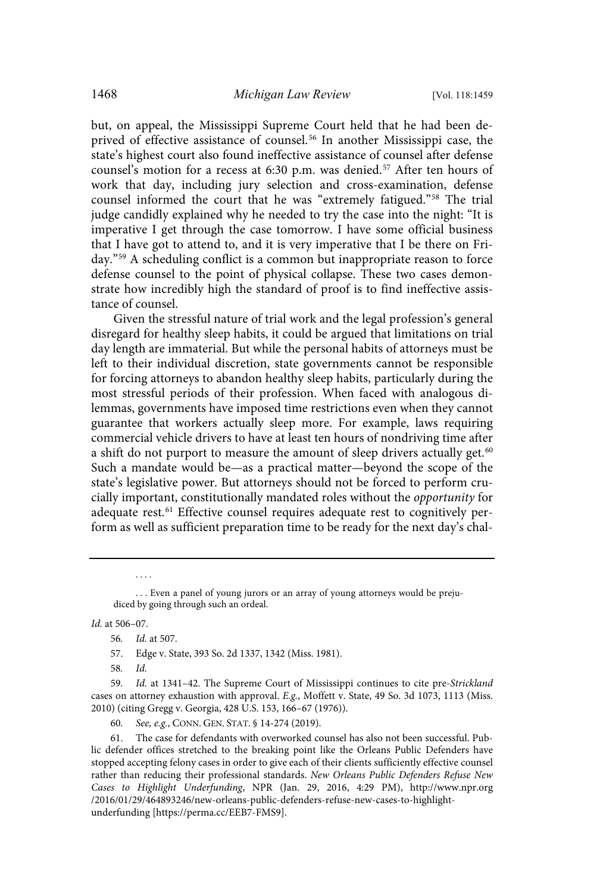but, on appeal, the Mississippi Supreme Court held that he had been deprived of effective assistance of counsel.<sup>56</sup> In another Mississippi case, the state's highest court also found ineffective assistance of counsel after defense counsel's motion for a recess at 6:30 p.m. was denied.<sup>57</sup> After ten hours of work that day, including jury selection and cross-examination, defense counsel informed the court that he was "extremely fatigued." <sup>58</sup> The trial judge candidly explained why he needed to try the case into the night: "It is imperative I get through the case tomorrow. I have some official business that I have got to attend to, and it is very imperative that I be there on Friday." <sup>59</sup> A scheduling conflict is a common but inappropriate reason to force defense counsel to the point of physical collapse. These two cases demonstrate how incredibly high the standard of proof is to find ineffective assistance of counsel.

Given the stressful nature of trial work and the legal profession's general disregard for healthy sleep habits, it could be argued that limitations on trial day length are immaterial. But while the personal habits of attorneys must be left to their individual discretion, state governments cannot be responsible for forcing attorneys to abandon healthy sleep habits, particularly during the most stressful periods of their profession. When faced with analogous dilemmas, governments have imposed time restrictions even when they cannot guarantee that workers actually sleep more. For example, laws requiring commercial vehicle drivers to have at least ten hours of nondriving time after a shift do not purport to measure the amount of sleep drivers actually get.<sup>60</sup> Such a mandate would be—as a practical matter—beyond the scope of the state's legislative power. But attorneys should not be forced to perform crucially important, constitutionally mandated roles without the opportunity for adequate rest.<sup>61</sup> Effective counsel requires adequate rest to cognitively perform as well as sufficient preparation time to be ready for the next day's chal-

Id. at 506–07.

. . . .

60. See, e.g., CONN. GEN. STAT. § 14-274 (2019).

<sup>...</sup> Even a panel of young jurors or an array of young attorneys would be prejudiced by going through such an ordeal.

<sup>56</sup>. Id. at 507.

<sup>57.</sup> Edge v. State, 393 So. 2d 1337, 1342 (Miss. 1981).

<sup>58</sup>. Id.

<sup>59</sup>. Id. at 1341–42. The Supreme Court of Mississippi continues to cite pre-Strickland cases on attorney exhaustion with approval. E.g., Moffett v. State, 49 So. 3d 1073, 1113 (Miss. 2010) (citing Gregg v. Georgia, 428 U.S. 153, 166–67 (1976)).

<sup>61.</sup> The case for defendants with overworked counsel has also not been successful. Public defender offices stretched to the breaking point like the Orleans Public Defenders have stopped accepting felony cases in order to give each of their clients sufficiently effective counsel rather than reducing their professional standards. New Orleans Public Defenders Refuse New Cases to Highlight Underfunding, NPR (Jan. 29, 2016, 4:29 PM), http://www.npr.org /2016/01/29/464893246/new-orleans-public-defenders-refuse-new-cases-to-highlightunderfunding [https://perma.cc/EEB7-FMS9].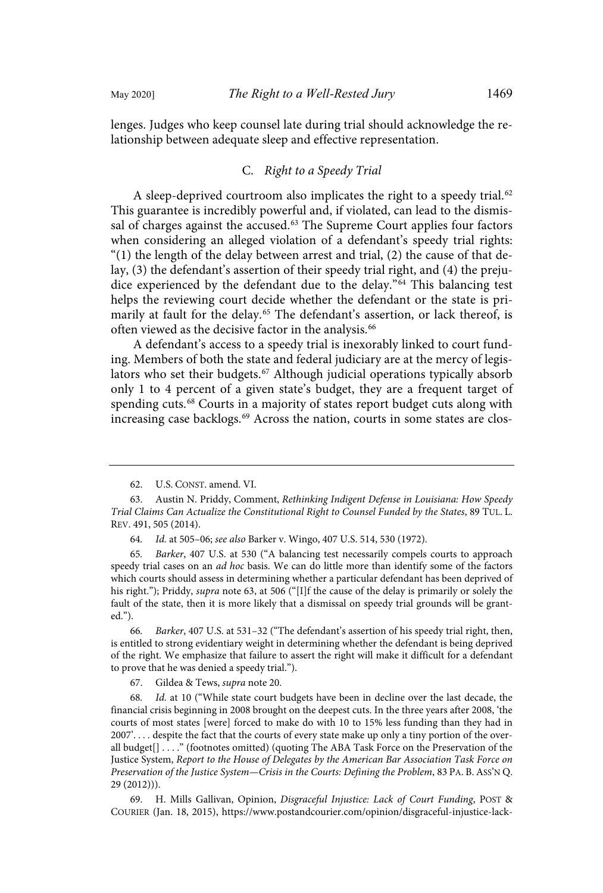lenges. Judges who keep counsel late during trial should acknowledge the relationship between adequate sleep and effective representation.

## C. Right to a Speedy Trial

A sleep-deprived courtroom also implicates the right to a speedy trial. $62$ This guarantee is incredibly powerful and, if violated, can lead to the dismissal of charges against the accused.<sup>63</sup> The Supreme Court applies four factors when considering an alleged violation of a defendant's speedy trial rights: " $(1)$  the length of the delay between arrest and trial,  $(2)$  the cause of that delay, (3) the defendant's assertion of their speedy trial right, and (4) the prejudice experienced by the defendant due to the delay."<sup>64</sup> This balancing test helps the reviewing court decide whether the defendant or the state is primarily at fault for the delay.<sup>65</sup> The defendant's assertion, or lack thereof, is often viewed as the decisive factor in the analysis.<sup>66</sup>

A defendant's access to a speedy trial is inexorably linked to court funding. Members of both the state and federal judiciary are at the mercy of legislators who set their budgets.<sup>67</sup> Although judicial operations typically absorb only 1 to 4 percent of a given state's budget, they are a frequent target of spending cuts. <sup>68</sup> Courts in a majority of states report budget cuts along with increasing case backlogs.<sup>69</sup> Across the nation, courts in some states are clos-

66. Barker, 407 U.S. at 531–32 ("The defendant's assertion of his speedy trial right, then, is entitled to strong evidentiary weight in determining whether the defendant is being deprived of the right. We emphasize that failure to assert the right will make it difficult for a defendant to prove that he was denied a speedy trial.").

67. Gildea & Tews, supra note 20.

68. Id. at 10 ("While state court budgets have been in decline over the last decade, the financial crisis beginning in 2008 brought on the deepest cuts. In the three years after 2008, 'the courts of most states [were] forced to make do with 10 to 15% less funding than they had in 2007'. . . . despite the fact that the courts of every state make up only a tiny portion of the overall budget[] . . . ." (footnotes omitted) (quoting The ABA Task Force on the Preservation of the Justice System, Report to the House of Delegates by the American Bar Association Task Force on Preservation of the Justice System—Crisis in the Courts: Defining the Problem, 83 PA. B. ASS'N Q. 29 (2012))).

69. H. Mills Gallivan, Opinion, Disgraceful Injustice: Lack of Court Funding, POST & COURIER (Jan. 18, 2015), https://www.postandcourier.com/opinion/disgraceful-injustice-lack-

<sup>62.</sup> U.S. CONST. amend. VI.

<sup>63.</sup> Austin N. Priddy, Comment, Rethinking Indigent Defense in Louisiana: How Speedy Trial Claims Can Actualize the Constitutional Right to Counsel Funded by the States, 89 TUL. L. REV. 491, 505 (2014).

<sup>64</sup>. Id. at 505–06; see also Barker v. Wingo, 407 U.S. 514, 530 (1972).

<sup>65</sup>. Barker, 407 U.S. at 530 ("A balancing test necessarily compels courts to approach speedy trial cases on an *ad hoc* basis. We can do little more than identify some of the factors which courts should assess in determining whether a particular defendant has been deprived of his right."); Priddy, *supra* note 63, at 506 ("[I]f the cause of the delay is primarily or solely the fault of the state, then it is more likely that a dismissal on speedy trial grounds will be granted.").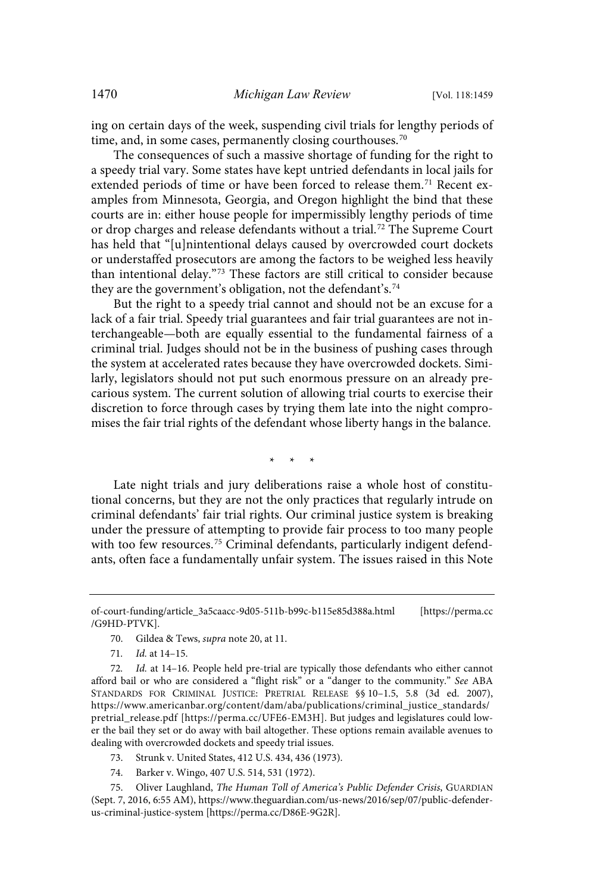ing on certain days of the week, suspending civil trials for lengthy periods of time, and, in some cases, permanently closing courthouses.<sup>70</sup>

The consequences of such a massive shortage of funding for the right to a speedy trial vary. Some states have kept untried defendants in local jails for extended periods of time or have been forced to release them.<sup>71</sup> Recent examples from Minnesota, Georgia, and Oregon highlight the bind that these courts are in: either house people for impermissibly lengthy periods of time or drop charges and release defendants without a trial. <sup>72</sup> The Supreme Court has held that "[u]nintentional delays caused by overcrowded court dockets or understaffed prosecutors are among the factors to be weighed less heavily than intentional delay." <sup>73</sup> These factors are still critical to consider because they are the government's obligation, not the defendant's. 74

But the right to a speedy trial cannot and should not be an excuse for a lack of a fair trial. Speedy trial guarantees and fair trial guarantees are not interchangeable—both are equally essential to the fundamental fairness of a criminal trial. Judges should not be in the business of pushing cases through the system at accelerated rates because they have overcrowded dockets. Similarly, legislators should not put such enormous pressure on an already precarious system. The current solution of allowing trial courts to exercise their discretion to force through cases by trying them late into the night compromises the fair trial rights of the defendant whose liberty hangs in the balance.

\* \* \*

Late night trials and jury deliberations raise a whole host of constitutional concerns, but they are not the only practices that regularly intrude on criminal defendants' fair trial rights. Our criminal justice system is breaking under the pressure of attempting to provide fair process to too many people with too few resources.<sup>75</sup> Criminal defendants, particularly indigent defendants, often face a fundamentally unfair system. The issues raised in this Note

- 70. Gildea & Tews, supra note 20, at 11.
- 71. Id. at 14–15.

- 73. Strunk v. United States, 412 U.S. 434, 436 (1973).
- 74. Barker v. Wingo, 407 U.S. 514, 531 (1972).

75. Oliver Laughland, The Human Toll of America's Public Defender Crisis, GUARDIAN (Sept. 7, 2016, 6:55 AM), https://www.theguardian.com/us-news/2016/sep/07/public-defenderus-criminal-justice-system [https://perma.cc/D86E-9G2R].

of-court-funding/article\_3a5caacc-9d05-511b-b99c-b115e85d388a.html [https://perma.cc /G9HD-PTVK].

<sup>72</sup>. Id. at 14–16. People held pre-trial are typically those defendants who either cannot afford bail or who are considered a "flight risk" or a "danger to the community." See ABA STANDARDS FOR CRIMINAL JUSTICE: PRETRIAL RELEASE §§ 10–1.5, 5.8 (3d ed. 2007), https://www.americanbar.org/content/dam/aba/publications/criminal\_justice\_standards/ pretrial\_release.pdf [https://perma.cc/UFE6-EM3H]. But judges and legislatures could lower the bail they set or do away with bail altogether. These options remain available avenues to dealing with overcrowded dockets and speedy trial issues.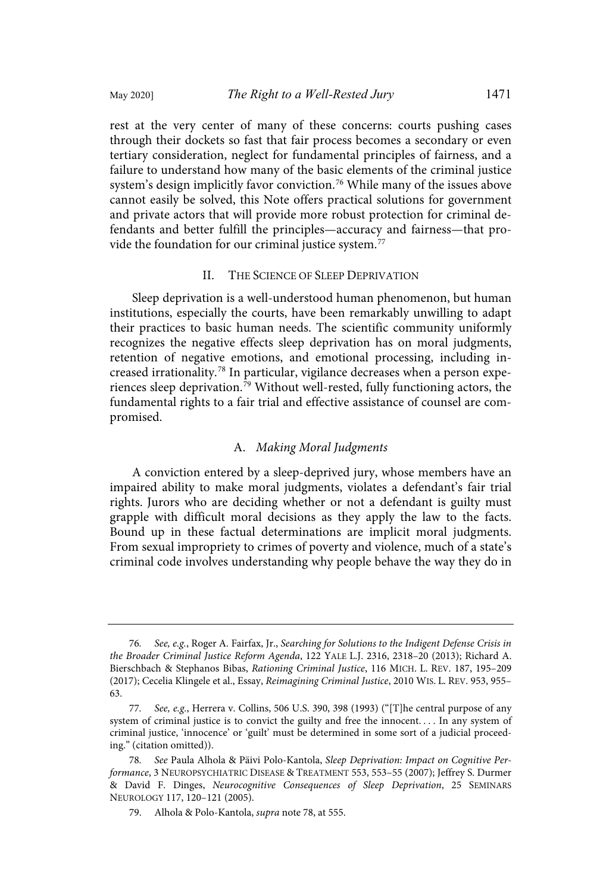rest at the very center of many of these concerns: courts pushing cases through their dockets so fast that fair process becomes a secondary or even tertiary consideration, neglect for fundamental principles of fairness, and a failure to understand how many of the basic elements of the criminal justice system's design implicitly favor conviction. <sup>76</sup> While many of the issues above cannot easily be solved, this Note offers practical solutions for government and private actors that will provide more robust protection for criminal defendants and better fulfill the principles—accuracy and fairness—that provide the foundation for our criminal justice system.<sup>77</sup>

## II. THE SCIENCE OF SLEEP DEPRIVATION

Sleep deprivation is a well-understood human phenomenon, but human institutions, especially the courts, have been remarkably unwilling to adapt their practices to basic human needs. The scientific community uniformly recognizes the negative effects sleep deprivation has on moral judgments, retention of negative emotions, and emotional processing, including increased irrationality.<sup>78</sup> In particular, vigilance decreases when a person experiences sleep deprivation. <sup>79</sup> Without well-rested, fully functioning actors, the fundamental rights to a fair trial and effective assistance of counsel are compromised.

## A. Making Moral Judgments

A conviction entered by a sleep-deprived jury, whose members have an impaired ability to make moral judgments, violates a defendant's fair trial rights. Jurors who are deciding whether or not a defendant is guilty must grapple with difficult moral decisions as they apply the law to the facts. Bound up in these factual determinations are implicit moral judgments. From sexual impropriety to crimes of poverty and violence, much of a state's criminal code involves understanding why people behave the way they do in

<sup>76</sup>. See, e.g., Roger A. Fairfax, Jr., Searching for Solutions to the Indigent Defense Crisis in the Broader Criminal Justice Reform Agenda, 122 YALE L.J. 2316, 2318–20 (2013); Richard A. Bierschbach & Stephanos Bibas, Rationing Criminal Justice, 116 MICH. L. REV. 187, 195–209 (2017); Cecelia Klingele et al., Essay, Reimagining Criminal Justice, 2010 WIS. L. REV. 953, 955– 63.

<sup>77</sup>. See, e.g., Herrera v. Collins, 506 U.S. 390, 398 (1993) ("[T]he central purpose of any system of criminal justice is to convict the guilty and free the innocent. . . . In any system of criminal justice, 'innocence' or 'guilt' must be determined in some sort of a judicial proceeding." (citation omitted)).

<sup>78</sup>. See Paula Alhola & Päivi Polo-Kantola, Sleep Deprivation: Impact on Cognitive Performance, 3 NEUROPSYCHIATRIC DISEASE & TREATMENT 553, 553–55 (2007); Jeffrey S. Durmer & David F. Dinges, Neurocognitive Consequences of Sleep Deprivation, 25 SEMINARS NEUROLOGY 117, 120–121 (2005).

<sup>79.</sup> Alhola & Polo-Kantola, supra note 78, at 555.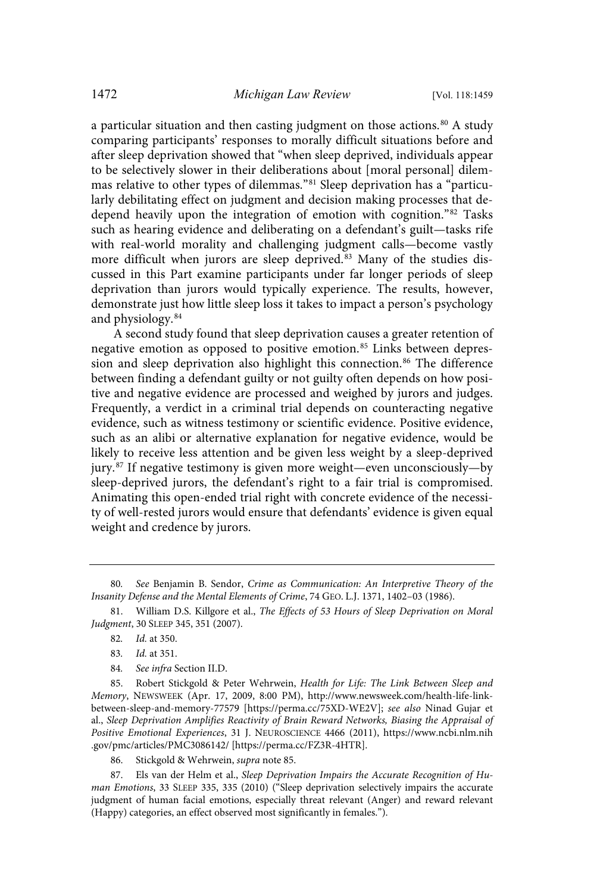a particular situation and then casting judgment on those actions.<sup>80</sup> A study comparing participants' responses to morally difficult situations before and after sleep deprivation showed that "when sleep deprived, individuals appear to be selectively slower in their deliberations about [moral personal] dilemmas relative to other types of dilemmas." <sup>81</sup> Sleep deprivation has a "particularly debilitating effect on judgment and decision making processes that dedepend heavily upon the integration of emotion with cognition."<sup>82</sup> Tasks such as hearing evidence and deliberating on a defendant's guilt—tasks rife with real-world morality and challenging judgment calls—become vastly more difficult when jurors are sleep deprived.<sup>83</sup> Many of the studies discussed in this Part examine participants under far longer periods of sleep deprivation than jurors would typically experience. The results, however, demonstrate just how little sleep loss it takes to impact a person's psychology and physiology.<sup>84</sup>

A second study found that sleep deprivation causes a greater retention of negative emotion as opposed to positive emotion.<sup>85</sup> Links between depression and sleep deprivation also highlight this connection.<sup>86</sup> The difference between finding a defendant guilty or not guilty often depends on how positive and negative evidence are processed and weighed by jurors and judges. Frequently, a verdict in a criminal trial depends on counteracting negative evidence, such as witness testimony or scientific evidence. Positive evidence, such as an alibi or alternative explanation for negative evidence, would be likely to receive less attention and be given less weight by a sleep-deprived jury. <sup>87</sup> If negative testimony is given more weight—even unconsciously—by sleep-deprived jurors, the defendant's right to a fair trial is compromised. Animating this open-ended trial right with concrete evidence of the necessity of well-rested jurors would ensure that defendants' evidence is given equal weight and credence by jurors.

84. See infra Section II.D.

85. Robert Stickgold & Peter Wehrwein, Health for Life: The Link Between Sleep and Memory, NEWSWEEK (Apr. 17, 2009, 8:00 PM), http://www.newsweek.com/health-life-linkbetween-sleep-and-memory-77579 [https://perma.cc/75XD-WE2V]; see also Ninad Gujar et al., Sleep Deprivation Amplifies Reactivity of Brain Reward Networks, Biasing the Appraisal of Positive Emotional Experiences, 31 J. NEUROSCIENCE 4466 (2011), https://www.ncbi.nlm.nih .gov/pmc/articles/PMC3086142/ [https://perma.cc/FZ3R-4HTR].

86. Stickgold & Wehrwein, supra note 85.

87. Els van der Helm et al., Sleep Deprivation Impairs the Accurate Recognition of Human Emotions, 33 SLEEP 335, 335 (2010) ("Sleep deprivation selectively impairs the accurate judgment of human facial emotions, especially threat relevant (Anger) and reward relevant (Happy) categories, an effect observed most significantly in females.").

<sup>80</sup>. See Benjamin B. Sendor, Crime as Communication: An Interpretive Theory of the Insanity Defense and the Mental Elements of Crime, 74 GEO. L.J. 1371, 1402–03 (1986).

<sup>81.</sup> William D.S. Killgore et al., The Effects of 53 Hours of Sleep Deprivation on Moral Judgment, 30 SLEEP 345, 351 (2007).

<sup>82</sup>. Id. at 350.

<sup>83</sup>. Id. at 351.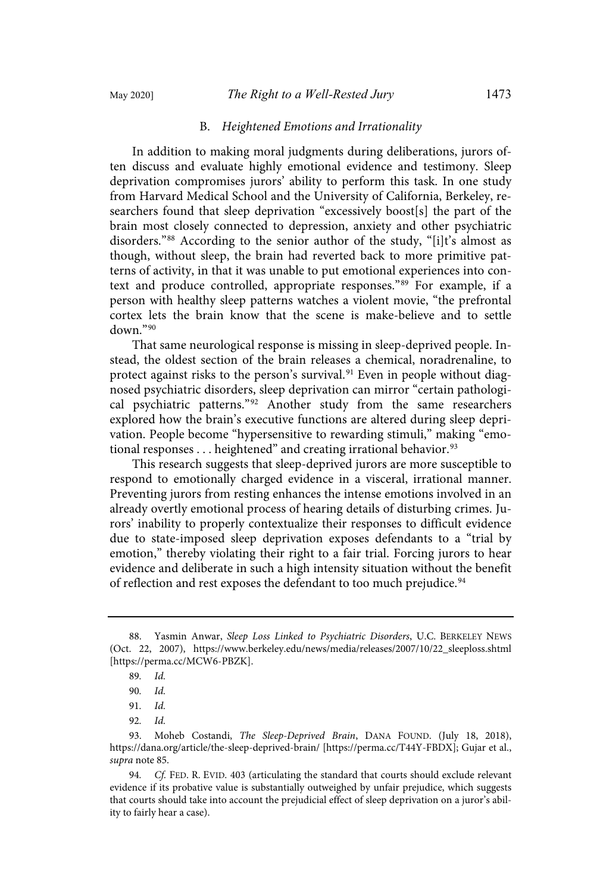#### B. Heightened Emotions and Irrationality

In addition to making moral judgments during deliberations, jurors often discuss and evaluate highly emotional evidence and testimony. Sleep deprivation compromises jurors' ability to perform this task. In one study from Harvard Medical School and the University of California, Berkeley, researchers found that sleep deprivation "excessively boost[s] the part of the brain most closely connected to depression, anxiety and other psychiatric disorders." <sup>88</sup> According to the senior author of the study, "[i]t's almost as though, without sleep, the brain had reverted back to more primitive patterns of activity, in that it was unable to put emotional experiences into context and produce controlled, appropriate responses." <sup>89</sup> For example, if a person with healthy sleep patterns watches a violent movie, "the prefrontal cortex lets the brain know that the scene is make-believe and to settle down."<sup>90</sup>

That same neurological response is missing in sleep-deprived people. Instead, the oldest section of the brain releases a chemical, noradrenaline, to protect against risks to the person's survival. <sup>91</sup> Even in people without diagnosed psychiatric disorders, sleep deprivation can mirror "certain pathological psychiatric patterns."<sup>92</sup> Another study from the same researchers explored how the brain's executive functions are altered during sleep deprivation. People become "hypersensitive to rewarding stimuli," making "emotional responses  $\dots$  heightened" and creating irrational behavior.<sup>93</sup>

This research suggests that sleep-deprived jurors are more susceptible to respond to emotionally charged evidence in a visceral, irrational manner. Preventing jurors from resting enhances the intense emotions involved in an already overtly emotional process of hearing details of disturbing crimes. Jurors' inability to properly contextualize their responses to difficult evidence due to state-imposed sleep deprivation exposes defendants to a "trial by emotion," thereby violating their right to a fair trial. Forcing jurors to hear evidence and deliberate in such a high intensity situation without the benefit of reflection and rest exposes the defendant to too much prejudice.<sup>94</sup>

<sup>88.</sup> Yasmin Anwar, Sleep Loss Linked to Psychiatric Disorders, U.C. BERKELEY NEWS (Oct. 22, 2007), https://www.berkeley.edu/news/media/releases/2007/10/22\_sleeploss.shtml [https://perma.cc/MCW6-PBZK].

<sup>89</sup>. Id.

<sup>90</sup>. Id.

<sup>91</sup>. Id.

<sup>92</sup>. Id.

<sup>93.</sup> Moheb Costandi, The Sleep-Deprived Brain, DANA FOUND. (July 18, 2018), https://dana.org/article/the-sleep-deprived-brain/ [https://perma.cc/T44Y-FBDX]; Gujar et al., supra note 85.

<sup>94</sup>. Cf. FED. R. EVID. 403 (articulating the standard that courts should exclude relevant evidence if its probative value is substantially outweighed by unfair prejudice, which suggests that courts should take into account the prejudicial effect of sleep deprivation on a juror's ability to fairly hear a case).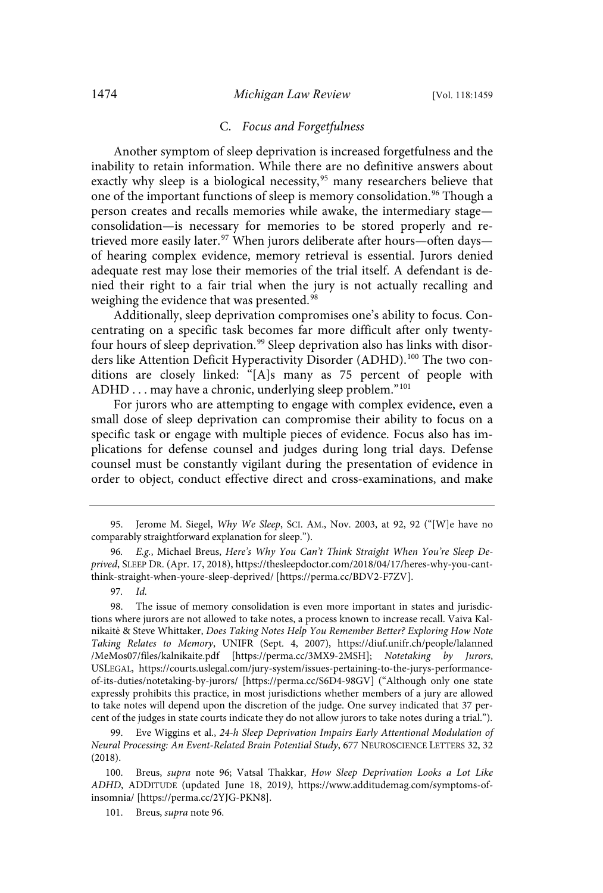#### C. Focus and Forgetfulness

Another symptom of sleep deprivation is increased forgetfulness and the inability to retain information. While there are no definitive answers about exactly why sleep is a biological necessity,<sup>95</sup> many researchers believe that one of the important functions of sleep is memory consolidation.<sup>96</sup> Though a person creates and recalls memories while awake, the intermediary stage consolidation—is necessary for memories to be stored properly and retrieved more easily later. <sup>97</sup> When jurors deliberate after hours—often days of hearing complex evidence, memory retrieval is essential. Jurors denied adequate rest may lose their memories of the trial itself. A defendant is denied their right to a fair trial when the jury is not actually recalling and weighing the evidence that was presented.<sup>98</sup>

Additionally, sleep deprivation compromises one's ability to focus. Concentrating on a specific task becomes far more difficult after only twentyfour hours of sleep deprivation.<sup>99</sup> Sleep deprivation also has links with disorders like Attention Deficit Hyperactivity Disorder (ADHD). <sup>100</sup> The two conditions are closely linked: "[A]s many as 75 percent of people with ADHD . . . may have a chronic, underlying sleep problem."<sup>101</sup>

For jurors who are attempting to engage with complex evidence, even a small dose of sleep deprivation can compromise their ability to focus on a specific task or engage with multiple pieces of evidence. Focus also has implications for defense counsel and judges during long trial days. Defense counsel must be constantly vigilant during the presentation of evidence in order to object, conduct effective direct and cross-examinations, and make

97. Id.

98. The issue of memory consolidation is even more important in states and jurisdictions where jurors are not allowed to take notes, a process known to increase recall. Vaiva Kalnikaitė & Steve Whittaker, Does Taking Notes Help You Remember Better? Exploring How Note Taking Relates to Memory, UNIFR (Sept. 4, 2007), https://diuf.unifr.ch/people/lalanned /MeMos07/files/kalnikaite.pdf [https://perma.cc/3MX9-2MSH]; Notetaking by Jurors, USLEGAL, https://courts.uslegal.com/jury-system/issues-pertaining-to-the-jurys-performanceof-its-duties/notetaking-by-jurors/ [https://perma.cc/S6D4-98GV] ("Although only one state expressly prohibits this practice, in most jurisdictions whether members of a jury are allowed to take notes will depend upon the discretion of the judge. One survey indicated that 37 percent of the judges in state courts indicate they do not allow jurors to take notes during a trial.").

99. Eve Wiggins et al., 24-h Sleep Deprivation Impairs Early Attentional Modulation of Neural Processing: An Event-Related Brain Potential Study, 677 NEUROSCIENCE LETTERS 32, 32 (2018).

100. Breus, supra note 96; Vatsal Thakkar, How Sleep Deprivation Looks a Lot Like ADHD, ADDITUDE (updated June 18, 2019), https://www.additudemag.com/symptoms-ofinsomnia/ [https://perma.cc/2YJG-PKN8].

101. Breus, supra note 96.

<sup>95.</sup> Jerome M. Siegel, Why We Sleep, SCI. AM., Nov. 2003, at 92, 92 ("[W]e have no comparably straightforward explanation for sleep.").

E.g., Michael Breus, Here's Why You Can't Think Straight When You're Sleep Deprived, SLEEP DR. (Apr. 17, 2018), https://thesleepdoctor.com/2018/04/17/heres-why-you-cantthink-straight-when-youre-sleep-deprived/ [https://perma.cc/BDV2-F7ZV].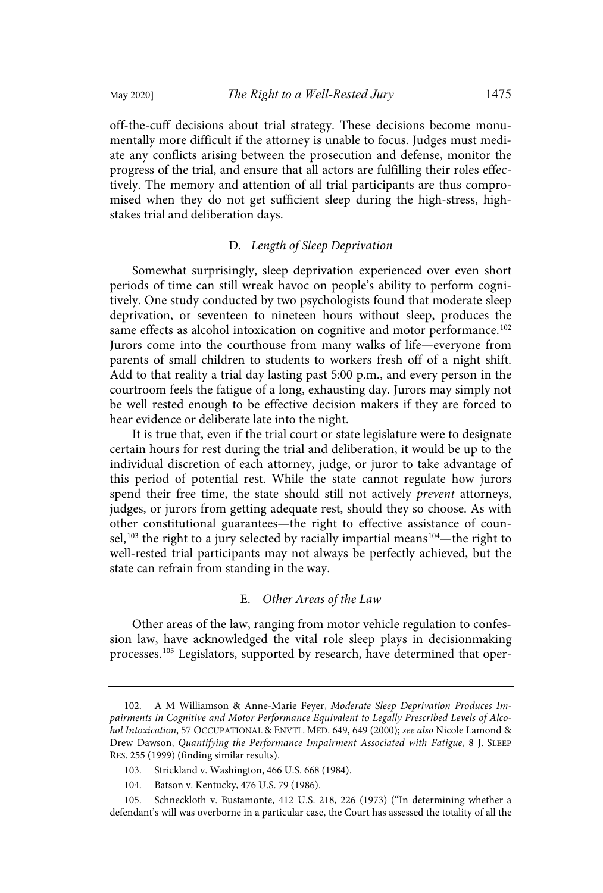off-the-cuff decisions about trial strategy. These decisions become monumentally more difficult if the attorney is unable to focus. Judges must mediate any conflicts arising between the prosecution and defense, monitor the progress of the trial, and ensure that all actors are fulfilling their roles effectively. The memory and attention of all trial participants are thus compromised when they do not get sufficient sleep during the high-stress, highstakes trial and deliberation days.

### D. Length of Sleep Deprivation

Somewhat surprisingly, sleep deprivation experienced over even short periods of time can still wreak havoc on people's ability to perform cognitively. One study conducted by two psychologists found that moderate sleep deprivation, or seventeen to nineteen hours without sleep, produces the same effects as alcohol intoxication on cognitive and motor performance.<sup>102</sup> Jurors come into the courthouse from many walks of life—everyone from parents of small children to students to workers fresh off of a night shift. Add to that reality a trial day lasting past 5:00 p.m., and every person in the courtroom feels the fatigue of a long, exhausting day. Jurors may simply not be well rested enough to be effective decision makers if they are forced to hear evidence or deliberate late into the night.

It is true that, even if the trial court or state legislature were to designate certain hours for rest during the trial and deliberation, it would be up to the individual discretion of each attorney, judge, or juror to take advantage of this period of potential rest. While the state cannot regulate how jurors spend their free time, the state should still not actively *prevent* attorneys, judges, or jurors from getting adequate rest, should they so choose. As with other constitutional guarantees—the right to effective assistance of counsel,<sup>103</sup> the right to a jury selected by racially impartial means<sup>104</sup>—the right to well-rested trial participants may not always be perfectly achieved, but the state can refrain from standing in the way.

#### E. Other Areas of the Law

Other areas of the law, ranging from motor vehicle regulation to confession law, have acknowledged the vital role sleep plays in decisionmaking processes.<sup>105</sup> Legislators, supported by research, have determined that oper-

<sup>102.</sup> A M Williamson & Anne-Marie Feyer, Moderate Sleep Deprivation Produces Impairments in Cognitive and Motor Performance Equivalent to Legally Prescribed Levels of Alcohol Intoxication, 57 OCCUPATIONAL & ENVTL. MED. 649, 649 (2000); see also Nicole Lamond & Drew Dawson, Quantifying the Performance Impairment Associated with Fatigue, 8 J. SLEEP RES. 255 (1999) (finding similar results).

<sup>103.</sup> Strickland v. Washington, 466 U.S. 668 (1984).

<sup>104.</sup> Batson v. Kentucky, 476 U.S. 79 (1986).

<sup>105.</sup> Schneckloth v. Bustamonte, 412 U.S. 218, 226 (1973) ("In determining whether a defendant's will was overborne in a particular case, the Court has assessed the totality of all the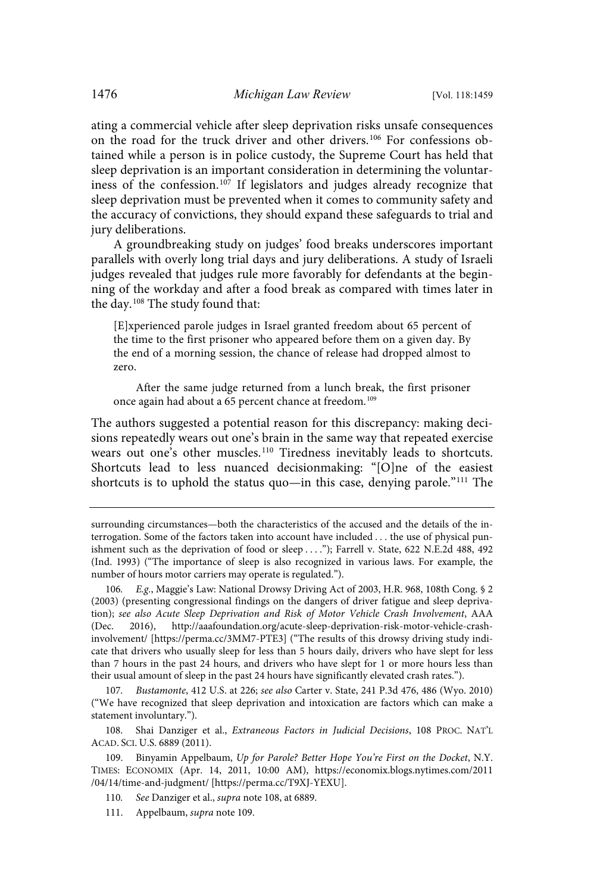ating a commercial vehicle after sleep deprivation risks unsafe consequences on the road for the truck driver and other drivers.<sup>106</sup> For confessions obtained while a person is in police custody, the Supreme Court has held that sleep deprivation is an important consideration in determining the voluntariness of the confession. <sup>107</sup> If legislators and judges already recognize that sleep deprivation must be prevented when it comes to community safety and the accuracy of convictions, they should expand these safeguards to trial and jury deliberations.

A groundbreaking study on judges' food breaks underscores important parallels with overly long trial days and jury deliberations. A study of Israeli judges revealed that judges rule more favorably for defendants at the beginning of the workday and after a food break as compared with times later in the day.<sup>108</sup> The study found that:

[E]xperienced parole judges in Israel granted freedom about 65 percent of the time to the first prisoner who appeared before them on a given day. By the end of a morning session, the chance of release had dropped almost to zero.

After the same judge returned from a lunch break, the first prisoner once again had about a 65 percent chance at freedom.<sup>109</sup>

The authors suggested a potential reason for this discrepancy: making decisions repeatedly wears out one's brain in the same way that repeated exercise wears out one's other muscles.<sup>110</sup> Tiredness inevitably leads to shortcuts. Shortcuts lead to less nuanced decisionmaking: "[O]ne of the easiest shortcuts is to uphold the status quo—in this case, denying parole." <sup>111</sup> The

107. Bustamonte, 412 U.S. at 226; see also Carter v. State, 241 P.3d 476, 486 (Wyo. 2010) ("We have recognized that sleep deprivation and intoxication are factors which can make a statement involuntary.").

108. Shai Danziger et al., Extraneous Factors in Judicial Decisions, 108 PROC. NAT'L ACAD. SCI. U.S. 6889 (2011).

surrounding circumstances—both the characteristics of the accused and the details of the interrogation. Some of the factors taken into account have included . . . the use of physical punishment such as the deprivation of food or sleep . . . ."); Farrell v. State, 622 N.E.2d 488, 492 (Ind. 1993) ("The importance of sleep is also recognized in various laws. For example, the number of hours motor carriers may operate is regulated.").

<sup>106</sup>. E.g., Maggie's Law: National Drowsy Driving Act of 2003, H.R. 968, 108th Cong. § 2 (2003) (presenting congressional findings on the dangers of driver fatigue and sleep deprivation); see also Acute Sleep Deprivation and Risk of Motor Vehicle Crash Involvement, AAA (Dec. 2016), http://aaafoundation.org/acute-sleep-deprivation-risk-motor-vehicle-crashinvolvement/ [https://perma.cc/3MM7-PTE3] ("The results of this drowsy driving study indicate that drivers who usually sleep for less than 5 hours daily, drivers who have slept for less than 7 hours in the past 24 hours, and drivers who have slept for 1 or more hours less than their usual amount of sleep in the past 24 hours have significantly elevated crash rates.").

<sup>109.</sup> Binyamin Appelbaum, Up for Parole? Better Hope You're First on the Docket, N.Y. TIMES: ECONOMIX (Apr. 14, 2011, 10:00 AM), https://economix.blogs.nytimes.com/2011 /04/14/time-and-judgment/ [https://perma.cc/T9XJ-YEXU].

<sup>110.</sup> See Danziger et al., supra note 108, at 6889.

<sup>111.</sup> Appelbaum, supra note 109.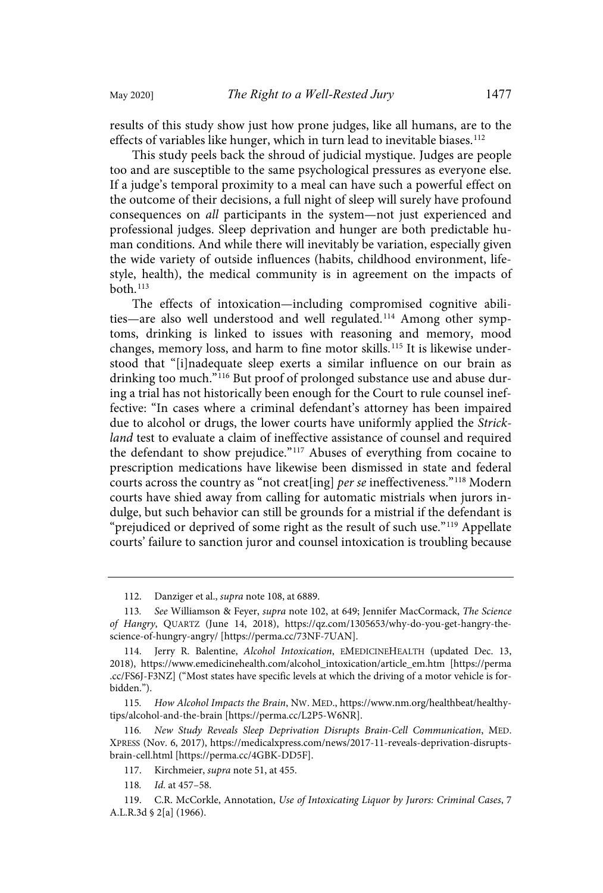results of this study show just how prone judges, like all humans, are to the

effects of variables like hunger, which in turn lead to inevitable biases.<sup>112</sup> This study peels back the shroud of judicial mystique. Judges are people too and are susceptible to the same psychological pressures as everyone else. If a judge's temporal proximity to a meal can have such a powerful effect on the outcome of their decisions, a full night of sleep will surely have profound consequences on all participants in the system—not just experienced and professional judges. Sleep deprivation and hunger are both predictable human conditions. And while there will inevitably be variation, especially given the wide variety of outside influences (habits, childhood environment, lifestyle, health), the medical community is in agreement on the impacts of  $both.<sup>113</sup>$ 

The effects of intoxication—including compromised cognitive abilities—are also well understood and well regulated.<sup>114</sup> Among other symptoms, drinking is linked to issues with reasoning and memory, mood changes, memory loss, and harm to fine motor skills.<sup>115</sup> It is likewise understood that "[i]nadequate sleep exerts a similar influence on our brain as drinking too much."<sup>116</sup> But proof of prolonged substance use and abuse during a trial has not historically been enough for the Court to rule counsel ineffective: "In cases where a criminal defendant's attorney has been impaired due to alcohol or drugs, the lower courts have uniformly applied the Strickland test to evaluate a claim of ineffective assistance of counsel and required the defendant to show prejudice." <sup>117</sup> Abuses of everything from cocaine to prescription medications have likewise been dismissed in state and federal courts across the country as "not creat[ing] per se ineffectiveness."<sup>118</sup> Modern courts have shied away from calling for automatic mistrials when jurors indulge, but such behavior can still be grounds for a mistrial if the defendant is "prejudiced or deprived of some right as the result of such use."<sup>119</sup> Appellate courts' failure to sanction juror and counsel intoxication is troubling because

<sup>112.</sup> Danziger et al., supra note 108, at 6889.

<sup>113.</sup> See Williamson & Feyer, supra note 102, at 649; Jennifer MacCormack, The Science of Hangry, QUARTZ (June 14, 2018), https://qz.com/1305653/why-do-you-get-hangry-thescience-of-hungry-angry/ [https://perma.cc/73NF-7UAN].

<sup>114.</sup> Jerry R. Balentine, Alcohol Intoxication, EMEDICINEHEALTH (updated Dec. 13, 2018), https://www.emedicinehealth.com/alcohol\_intoxication/article\_em.htm [https://perma .cc/FS6J-F3NZ] ("Most states have specific levels at which the driving of a motor vehicle is forbidden.").

<sup>115</sup>. How Alcohol Impacts the Brain, NW. MED., https://www.nm.org/healthbeat/healthytips/alcohol-and-the-brain [https://perma.cc/L2P5-W6NR].

<sup>116</sup>. New Study Reveals Sleep Deprivation Disrupts Brain-Cell Communication, MED. XPRESS (Nov. 6, 2017), https://medicalxpress.com/news/2017-11-reveals-deprivation-disruptsbrain-cell.html [https://perma.cc/4GBK-DD5F].

<sup>117.</sup> Kirchmeier, supra note 51, at 455.

<sup>118.</sup> *Id.* at 457-58.

<sup>119.</sup> C.R. McCorkle, Annotation, Use of Intoxicating Liquor by Jurors: Criminal Cases, 7 A.L.R.3d § 2[a] (1966).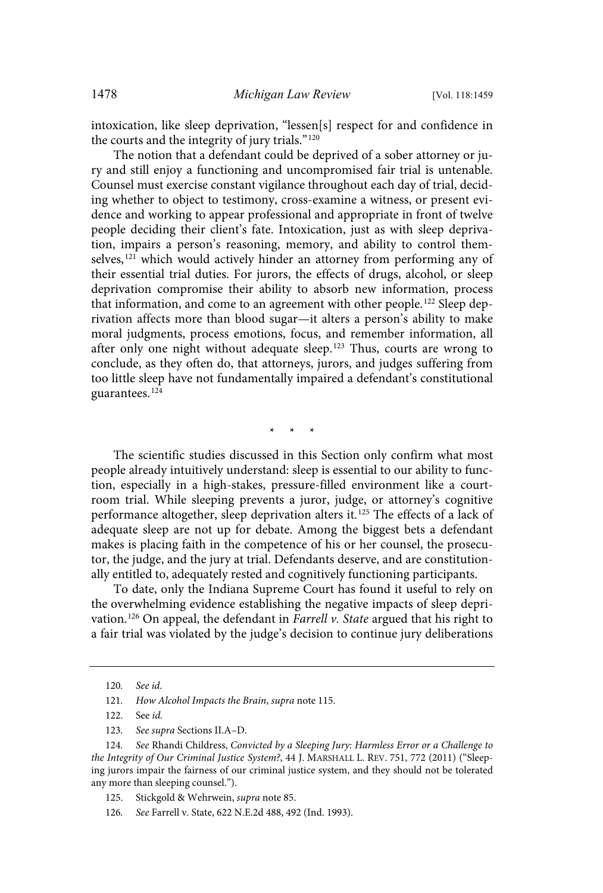intoxication, like sleep deprivation, "lessen[s] respect for and confidence in the courts and the integrity of jury trials."<sup>120</sup>

The notion that a defendant could be deprived of a sober attorney or jury and still enjoy a functioning and uncompromised fair trial is untenable. Counsel must exercise constant vigilance throughout each day of trial, deciding whether to object to testimony, cross-examine a witness, or present evidence and working to appear professional and appropriate in front of twelve people deciding their client's fate. Intoxication, just as with sleep deprivation, impairs a person's reasoning, memory, and ability to control themselves,<sup>121</sup> which would actively hinder an attorney from performing any of their essential trial duties. For jurors, the effects of drugs, alcohol, or sleep deprivation compromise their ability to absorb new information, process that information, and come to an agreement with other people.<sup>122</sup> Sleep deprivation affects more than blood sugar—it alters a person's ability to make moral judgments, process emotions, focus, and remember information, all after only one night without adequate sleep. <sup>123</sup> Thus, courts are wrong to conclude, as they often do, that attorneys, jurors, and judges suffering from too little sleep have not fundamentally impaired a defendant's constitutional guarantees.<sup>124</sup>

\* \* \*

The scientific studies discussed in this Section only confirm what most people already intuitively understand: sleep is essential to our ability to function, especially in a high-stakes, pressure-filled environment like a courtroom trial. While sleeping prevents a juror, judge, or attorney's cognitive performance altogether, sleep deprivation alters it. <sup>125</sup> The effects of a lack of adequate sleep are not up for debate. Among the biggest bets a defendant makes is placing faith in the competence of his or her counsel, the prosecutor, the judge, and the jury at trial. Defendants deserve, and are constitutionally entitled to, adequately rested and cognitively functioning participants.

To date, only the Indiana Supreme Court has found it useful to rely on the overwhelming evidence establishing the negative impacts of sleep deprivation.<sup>126</sup> On appeal, the defendant in Farrell v. State argued that his right to a fair trial was violated by the judge's decision to continue jury deliberations

<sup>120</sup>. See id.

<sup>121.</sup> How Alcohol Impacts the Brain, supra note 115.

<sup>122.</sup> See id.

<sup>123</sup>. See supra Sections II.A–D.

<sup>124</sup>. See Rhandi Childress, Convicted by a Sleeping Jury: Harmless Error or a Challenge to the Integrity of Our Criminal Justice System?, 44 J. MARSHALL L. REV. 751, 772 (2011) ("Sleeping jurors impair the fairness of our criminal justice system, and they should not be tolerated any more than sleeping counsel.").

<sup>125.</sup> Stickgold & Wehrwein, supra note 85.

<sup>126</sup>. See Farrell v. State, 622 N.E.2d 488, 492 (Ind. 1993).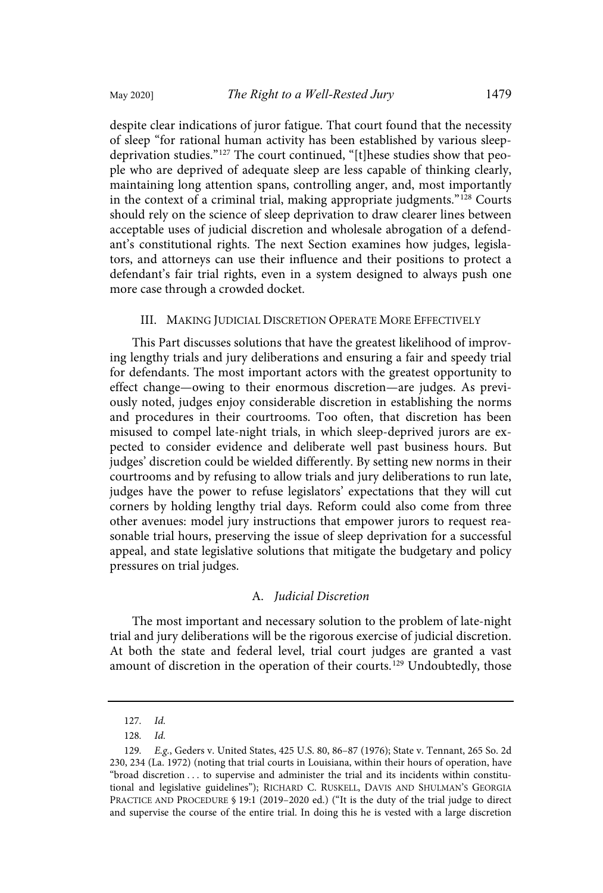despite clear indications of juror fatigue. That court found that the necessity of sleep "for rational human activity has been established by various sleepdeprivation studies." <sup>127</sup> The court continued, "[t]hese studies show that people who are deprived of adequate sleep are less capable of thinking clearly, maintaining long attention spans, controlling anger, and, most importantly in the context of a criminal trial, making appropriate judgments." <sup>128</sup> Courts should rely on the science of sleep deprivation to draw clearer lines between acceptable uses of judicial discretion and wholesale abrogation of a defendant's constitutional rights. The next Section examines how judges, legislators, and attorneys can use their influence and their positions to protect a defendant's fair trial rights, even in a system designed to always push one more case through a crowded docket.

#### III. MAKING JUDICIAL DISCRETION OPERATE MORE EFFECTIVELY

This Part discusses solutions that have the greatest likelihood of improving lengthy trials and jury deliberations and ensuring a fair and speedy trial for defendants. The most important actors with the greatest opportunity to effect change—owing to their enormous discretion—are judges. As previously noted, judges enjoy considerable discretion in establishing the norms and procedures in their courtrooms. Too often, that discretion has been misused to compel late-night trials, in which sleep-deprived jurors are expected to consider evidence and deliberate well past business hours. But judges' discretion could be wielded differently. By setting new norms in their courtrooms and by refusing to allow trials and jury deliberations to run late, judges have the power to refuse legislators' expectations that they will cut corners by holding lengthy trial days. Reform could also come from three other avenues: model jury instructions that empower jurors to request reasonable trial hours, preserving the issue of sleep deprivation for a successful appeal, and state legislative solutions that mitigate the budgetary and policy pressures on trial judges.

## A. Judicial Discretion

The most important and necessary solution to the problem of late-night trial and jury deliberations will be the rigorous exercise of judicial discretion. At both the state and federal level, trial court judges are granted a vast amount of discretion in the operation of their courts.<sup>129</sup> Undoubtedly, those

<sup>127</sup>. Id.

<sup>128</sup>. Id.

<sup>129</sup>. E.g., Geders v. United States, 425 U.S. 80, 86–87 (1976); State v. Tennant, 265 So. 2d 230, 234 (La. 1972) (noting that trial courts in Louisiana, within their hours of operation, have "broad discretion . . . to supervise and administer the trial and its incidents within constitutional and legislative guidelines"); RICHARD C. RUSKELL, DAVIS AND SHULMAN'S GEORGIA PRACTICE AND PROCEDURE § 19:1 (2019–2020 ed.) ("It is the duty of the trial judge to direct and supervise the course of the entire trial. In doing this he is vested with a large discretion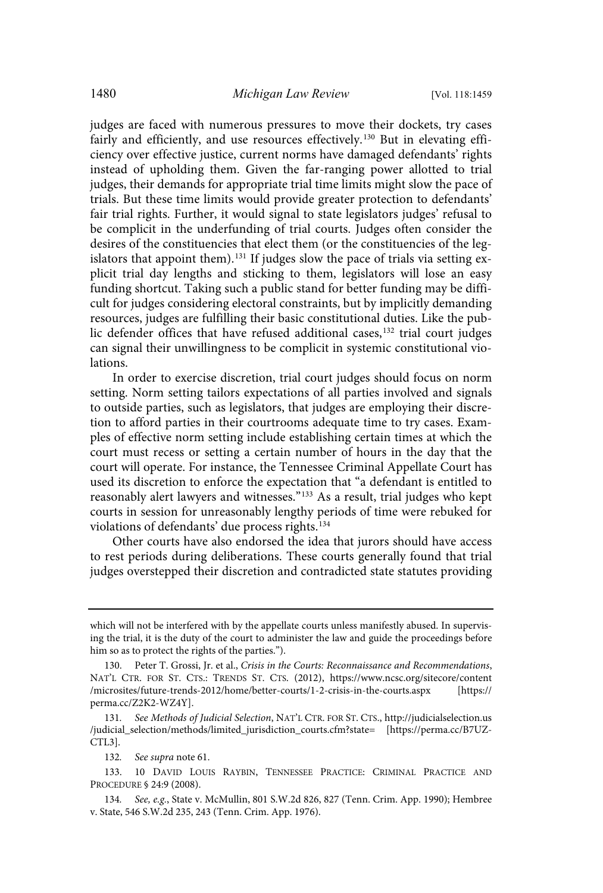judges are faced with numerous pressures to move their dockets, try cases fairly and efficiently, and use resources effectively.<sup>130</sup> But in elevating efficiency over effective justice, current norms have damaged defendants' rights instead of upholding them. Given the far-ranging power allotted to trial judges, their demands for appropriate trial time limits might slow the pace of trials. But these time limits would provide greater protection to defendants' fair trial rights. Further, it would signal to state legislators judges' refusal to be complicit in the underfunding of trial courts. Judges often consider the desires of the constituencies that elect them (or the constituencies of the legislators that appoint them).<sup>131</sup> If judges slow the pace of trials via setting explicit trial day lengths and sticking to them, legislators will lose an easy funding shortcut. Taking such a public stand for better funding may be difficult for judges considering electoral constraints, but by implicitly demanding resources, judges are fulfilling their basic constitutional duties. Like the public defender offices that have refused additional cases,<sup>132</sup> trial court judges can signal their unwillingness to be complicit in systemic constitutional violations.

In order to exercise discretion, trial court judges should focus on norm setting. Norm setting tailors expectations of all parties involved and signals to outside parties, such as legislators, that judges are employing their discretion to afford parties in their courtrooms adequate time to try cases. Examples of effective norm setting include establishing certain times at which the court must recess or setting a certain number of hours in the day that the court will operate. For instance, the Tennessee Criminal Appellate Court has used its discretion to enforce the expectation that "a defendant is entitled to reasonably alert lawyers and witnesses." <sup>133</sup> As a result, trial judges who kept courts in session for unreasonably lengthy periods of time were rebuked for violations of defendants' due process rights. 134

Other courts have also endorsed the idea that jurors should have access to rest periods during deliberations. These courts generally found that trial judges overstepped their discretion and contradicted state statutes providing

132. See supra note 61.

133. 10 DAVID LOUIS RAYBIN, TENNESSEE PRACTICE: CRIMINAL PRACTICE AND PROCEDURE § 24:9 (2008).

which will not be interfered with by the appellate courts unless manifestly abused. In supervising the trial, it is the duty of the court to administer the law and guide the proceedings before him so as to protect the rights of the parties.").

<sup>130.</sup> Peter T. Grossi, Jr. et al., Crisis in the Courts: Reconnaissance and Recommendations, NAT'L CTR. FOR ST. CTS.: TRENDS ST. CTS. (2012), https://www.ncsc.org/sitecore/content /microsites/future-trends-2012/home/better-courts/1-2-crisis-in-the-courts.aspx [https:// perma.cc/Z2K2-WZ4Y].

<sup>131</sup>. See Methods of Judicial Selection, NAT'L CTR. FOR ST. CTS., http://judicialselection.us /judicial\_selection/methods/limited\_jurisdiction\_courts.cfm?state= [https://perma.cc/B7UZ-CTL3].

<sup>134</sup>. See, e.g., State v. McMullin, 801 S.W.2d 826, 827 (Tenn. Crim. App. 1990); Hembree v. State, 546 S.W.2d 235, 243 (Tenn. Crim. App. 1976).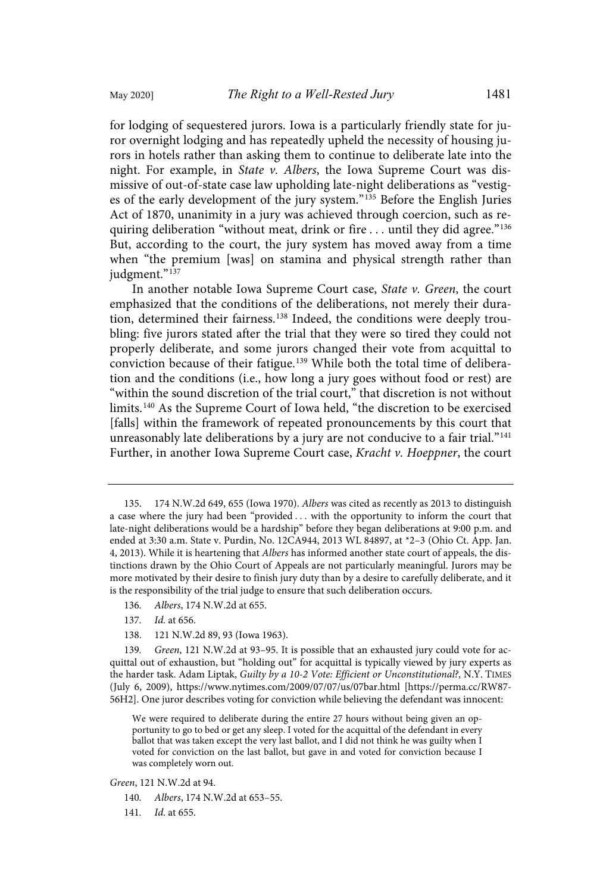for lodging of sequestered jurors. Iowa is a particularly friendly state for juror overnight lodging and has repeatedly upheld the necessity of housing jurors in hotels rather than asking them to continue to deliberate late into the night. For example, in State v. Albers, the Iowa Supreme Court was dismissive of out-of-state case law upholding late-night deliberations as "vestiges of the early development of the jury system." <sup>135</sup> Before the English Juries Act of 1870, unanimity in a jury was achieved through coercion, such as requiring deliberation "without meat, drink or fire . . . until they did agree." 136 But, according to the court, the jury system has moved away from a time when "the premium [was] on stamina and physical strength rather than judgment." 137

In another notable Iowa Supreme Court case, State v. Green, the court emphasized that the conditions of the deliberations, not merely their duration, determined their fairness.<sup>138</sup> Indeed, the conditions were deeply troubling: five jurors stated after the trial that they were so tired they could not properly deliberate, and some jurors changed their vote from acquittal to conviction because of their fatigue.<sup>139</sup> While both the total time of deliberation and the conditions (i.e., how long a jury goes without food or rest) are "within the sound discretion of the trial court," that discretion is not without limits.<sup>140</sup> As the Supreme Court of Iowa held, "the discretion to be exercised [falls] within the framework of repeated pronouncements by this court that unreasonably late deliberations by a jury are not conducive to a fair trial."<sup>141</sup> Further, in another Iowa Supreme Court case, Kracht v. Hoeppner, the court

- 137. Id. at 656.
- 138. 121 N.W.2d 89, 93 (Iowa 1963).

139. Green, 121 N.W.2d at 93–95. It is possible that an exhausted jury could vote for acquittal out of exhaustion, but "holding out" for acquittal is typically viewed by jury experts as the harder task. Adam Liptak, Guilty by a 10-2 Vote: Efficient or Unconstitutional?, N.Y. TIMES (July 6, 2009), https://www.nytimes.com/2009/07/07/us/07bar.html [https://perma.cc/RW87- 56H2]. One juror describes voting for conviction while believing the defendant was innocent:

We were required to deliberate during the entire 27 hours without being given an opportunity to go to bed or get any sleep. I voted for the acquittal of the defendant in every ballot that was taken except the very last ballot, and I did not think he was guilty when I voted for conviction on the last ballot, but gave in and voted for conviction because I was completely worn out.

Green, 121 N.W.2d at 94.

- 140. Albers, 174 N.W.2d at 653–55.
- 141. *Id.* at 655.

<sup>135.</sup> 174 N.W.2d 649, 655 (Iowa 1970). Albers was cited as recently as 2013 to distinguish a case where the jury had been "provided . . . with the opportunity to inform the court that late-night deliberations would be a hardship" before they began deliberations at 9:00 p.m. and ended at 3:30 a.m. State v. Purdin, No. 12CA944, 2013 WL 84897, at \*2–3 (Ohio Ct. App. Jan. 4, 2013). While it is heartening that Albers has informed another state court of appeals, the distinctions drawn by the Ohio Court of Appeals are not particularly meaningful. Jurors may be more motivated by their desire to finish jury duty than by a desire to carefully deliberate, and it is the responsibility of the trial judge to ensure that such deliberation occurs.

<sup>136</sup>. Albers, 174 N.W.2d at 655.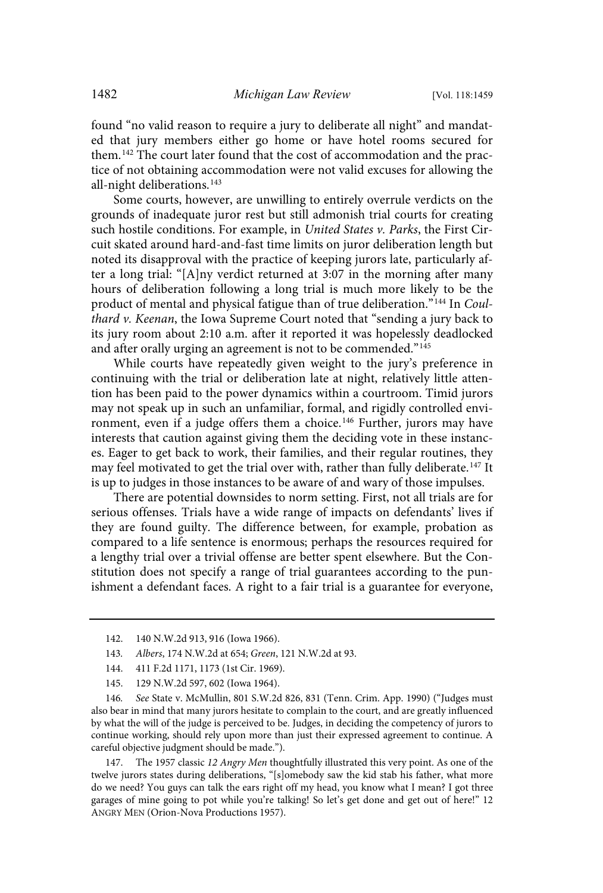found "no valid reason to require a jury to deliberate all night" and mandated that jury members either go home or have hotel rooms secured for them.<sup>142</sup> The court later found that the cost of accommodation and the practice of not obtaining accommodation were not valid excuses for allowing the all-night deliberations.<sup>143</sup>

Some courts, however, are unwilling to entirely overrule verdicts on the grounds of inadequate juror rest but still admonish trial courts for creating such hostile conditions. For example, in United States v. Parks, the First Circuit skated around hard-and-fast time limits on juror deliberation length but noted its disapproval with the practice of keeping jurors late, particularly after a long trial: "[A]ny verdict returned at 3:07 in the morning after many hours of deliberation following a long trial is much more likely to be the product of mental and physical fatigue than of true deliberation."<sup>144</sup> In Coulthard v. Keenan, the Iowa Supreme Court noted that "sending a jury back to its jury room about 2:10 a.m. after it reported it was hopelessly deadlocked and after orally urging an agreement is not to be commended." 145

While courts have repeatedly given weight to the jury's preference in continuing with the trial or deliberation late at night, relatively little attention has been paid to the power dynamics within a courtroom. Timid jurors may not speak up in such an unfamiliar, formal, and rigidly controlled environment, even if a judge offers them a choice.<sup>146</sup> Further, jurors may have interests that caution against giving them the deciding vote in these instances. Eager to get back to work, their families, and their regular routines, they may feel motivated to get the trial over with, rather than fully deliberate.<sup>147</sup> It is up to judges in those instances to be aware of and wary of those impulses.

There are potential downsides to norm setting. First, not all trials are for serious offenses. Trials have a wide range of impacts on defendants' lives if they are found guilty. The difference between, for example, probation as compared to a life sentence is enormous; perhaps the resources required for a lengthy trial over a trivial offense are better spent elsewhere. But the Constitution does not specify a range of trial guarantees according to the punishment a defendant faces. A right to a fair trial is a guarantee for everyone,

145. 129 N.W.2d 597, 602 (Iowa 1964).

146. See State v. McMullin, 801 S.W.2d 826, 831 (Tenn. Crim. App. 1990) ("Judges must also bear in mind that many jurors hesitate to complain to the court, and are greatly influenced by what the will of the judge is perceived to be. Judges, in deciding the competency of jurors to continue working, should rely upon more than just their expressed agreement to continue. A careful objective judgment should be made.").

147. The 1957 classic 12 Angry Men thoughtfully illustrated this very point. As one of the twelve jurors states during deliberations, "[s]omebody saw the kid stab his father, what more do we need? You guys can talk the ears right off my head, you know what I mean? I got three garages of mine going to pot while you're talking! So let's get done and get out of here!" 12 ANGRY MEN (Orion-Nova Productions 1957).

<sup>142.</sup> 140 N.W.2d 913, 916 (Iowa 1966).

<sup>143</sup>. Albers, 174 N.W.2d at 654; Green, 121 N.W.2d at 93.

<sup>144.</sup> 411 F.2d 1171, 1173 (1st Cir. 1969).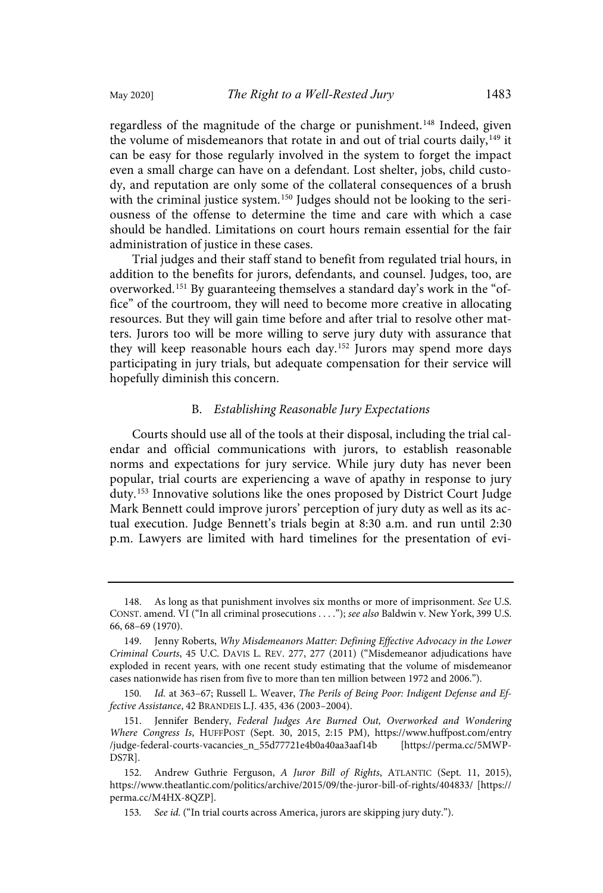regardless of the magnitude of the charge or punishment.<sup>148</sup> Indeed, given the volume of misdemeanors that rotate in and out of trial courts daily,<sup>149</sup> it can be easy for those regularly involved in the system to forget the impact even a small charge can have on a defendant. Lost shelter, jobs, child custody, and reputation are only some of the collateral consequences of a brush with the criminal justice system.<sup>150</sup> Judges should not be looking to the seriousness of the offense to determine the time and care with which a case should be handled. Limitations on court hours remain essential for the fair administration of justice in these cases.

Trial judges and their staff stand to benefit from regulated trial hours, in addition to the benefits for jurors, defendants, and counsel. Judges, too, are overworked. <sup>151</sup> By guaranteeing themselves a standard day's work in the "office" of the courtroom, they will need to become more creative in allocating resources. But they will gain time before and after trial to resolve other matters. Jurors too will be more willing to serve jury duty with assurance that they will keep reasonable hours each day.<sup>152</sup> Jurors may spend more days participating in jury trials, but adequate compensation for their service will hopefully diminish this concern.

#### B. Establishing Reasonable Jury Expectations

Courts should use all of the tools at their disposal, including the trial calendar and official communications with jurors, to establish reasonable norms and expectations for jury service. While jury duty has never been popular, trial courts are experiencing a wave of apathy in response to jury duty.<sup>153</sup> Innovative solutions like the ones proposed by District Court Judge Mark Bennett could improve jurors' perception of jury duty as well as its actual execution. Judge Bennett's trials begin at 8:30 a.m. and run until 2:30 p.m. Lawyers are limited with hard timelines for the presentation of evi-

<sup>148.</sup> As long as that punishment involves six months or more of imprisonment. See U.S. CONST. amend. VI ("In all criminal prosecutions . . . ."); see also Baldwin v. New York, 399 U.S. 66, 68–69 (1970).

<sup>149.</sup> Jenny Roberts, Why Misdemeanors Matter: Defining Effective Advocacy in the Lower Criminal Courts, 45 U.C. DAVIS L. REV. 277, 277 (2011) ("Misdemeanor adjudications have exploded in recent years, with one recent study estimating that the volume of misdemeanor cases nationwide has risen from five to more than ten million between 1972 and 2006.").

<sup>150</sup>. Id. at 363–67; Russell L. Weaver, The Perils of Being Poor: Indigent Defense and Effective Assistance, 42 BRANDEIS L.J. 435, 436 (2003–2004).

<sup>151.</sup> Jennifer Bendery, Federal Judges Are Burned Out, Overworked and Wondering Where Congress Is, HUFFPOST (Sept. 30, 2015, 2:15 PM), https://www.huffpost.com/entry /judge-federal-courts-vacancies\_n\_55d77721e4b0a40aa3aaf14b [https://perma.cc/5MWP-DS7R].

<sup>152.</sup> Andrew Guthrie Ferguson, A Juror Bill of Rights, ATLANTIC (Sept. 11, 2015), https://www.theatlantic.com/politics/archive/2015/09/the-juror-bill-of-rights/404833/ [https:// perma.cc/M4HX-8QZP].

<sup>153</sup>. See id. ("In trial courts across America, jurors are skipping jury duty.").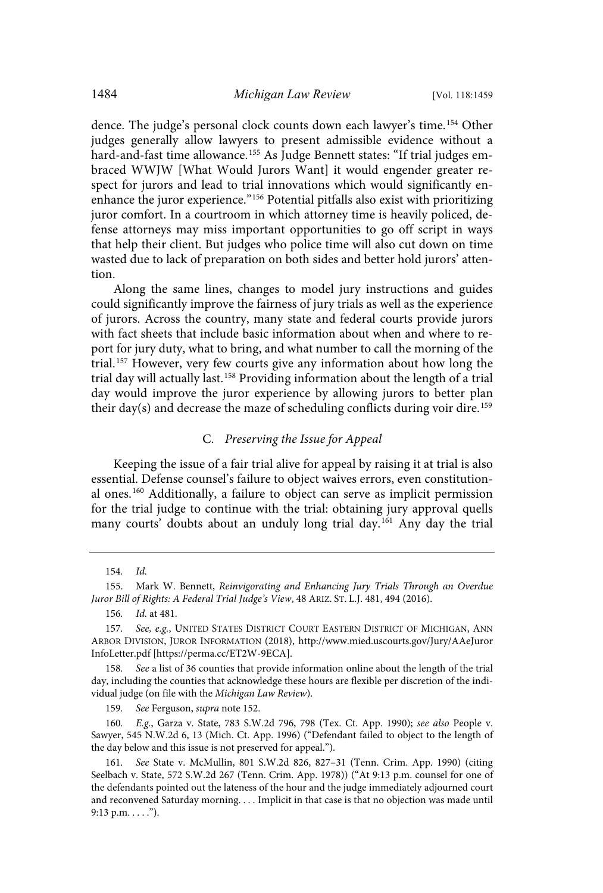dence. The judge's personal clock counts down each lawyer's time.<sup>154</sup> Other judges generally allow lawyers to present admissible evidence without a hard-and-fast time allowance. <sup>155</sup> As Judge Bennett states: "If trial judges embraced WWJW [What Would Jurors Want] it would engender greater respect for jurors and lead to trial innovations which would significantly enenhance the juror experience." <sup>156</sup> Potential pitfalls also exist with prioritizing juror comfort. In a courtroom in which attorney time is heavily policed, defense attorneys may miss important opportunities to go off script in ways that help their client. But judges who police time will also cut down on time wasted due to lack of preparation on both sides and better hold jurors' attention.

Along the same lines, changes to model jury instructions and guides could significantly improve the fairness of jury trials as well as the experience of jurors. Across the country, many state and federal courts provide jurors with fact sheets that include basic information about when and where to report for jury duty, what to bring, and what number to call the morning of the trial. <sup>157</sup> However, very few courts give any information about how long the trial day will actually last.<sup>158</sup> Providing information about the length of a trial day would improve the juror experience by allowing jurors to better plan their day(s) and decrease the maze of scheduling conflicts during voir dire.<sup>159</sup>

## C. Preserving the Issue for Appeal

Keeping the issue of a fair trial alive for appeal by raising it at trial is also essential. Defense counsel's failure to object waives errors, even constitutional ones.<sup>160</sup> Additionally, a failure to object can serve as implicit permission for the trial judge to continue with the trial: obtaining jury approval quells many courts' doubts about an unduly long trial day.<sup>161</sup> Any day the trial

<sup>154</sup>. Id.

<sup>155.</sup> Mark W. Bennett, Reinvigorating and Enhancing Jury Trials Through an Overdue Juror Bill of Rights: A Federal Trial Judge's View, 48 ARIZ. ST. L.J. 481, 494 (2016).

<sup>156</sup>. Id. at 481.

<sup>157.</sup> See, e.g., UNITED STATES DISTRICT COURT EASTERN DISTRICT OF MICHIGAN, ANN ARBOR DIVISION, JUROR INFORMATION (2018), http://www.mied.uscourts.gov/Jury/AAeJuror InfoLetter.pdf [https://perma.cc/ET2W-9ECA].

<sup>158</sup>. See a list of 36 counties that provide information online about the length of the trial day, including the counties that acknowledge these hours are flexible per discretion of the individual judge (on file with the Michigan Law Review).

<sup>159</sup>. See Ferguson, supra note 152.

<sup>160</sup>. E.g., Garza v. State, 783 S.W.2d 796, 798 (Tex. Ct. App. 1990); see also People v. Sawyer, 545 N.W.2d 6, 13 (Mich. Ct. App. 1996) ("Defendant failed to object to the length of the day below and this issue is not preserved for appeal.").

<sup>161</sup>. See State v. McMullin, 801 S.W.2d 826, 827–31 (Tenn. Crim. App. 1990) (citing Seelbach v. State, 572 S.W.2d 267 (Tenn. Crim. App. 1978)) ("At 9:13 p.m. counsel for one of the defendants pointed out the lateness of the hour and the judge immediately adjourned court and reconvened Saturday morning. . . . Implicit in that case is that no objection was made until 9:13 p.m.  $\dots$ .").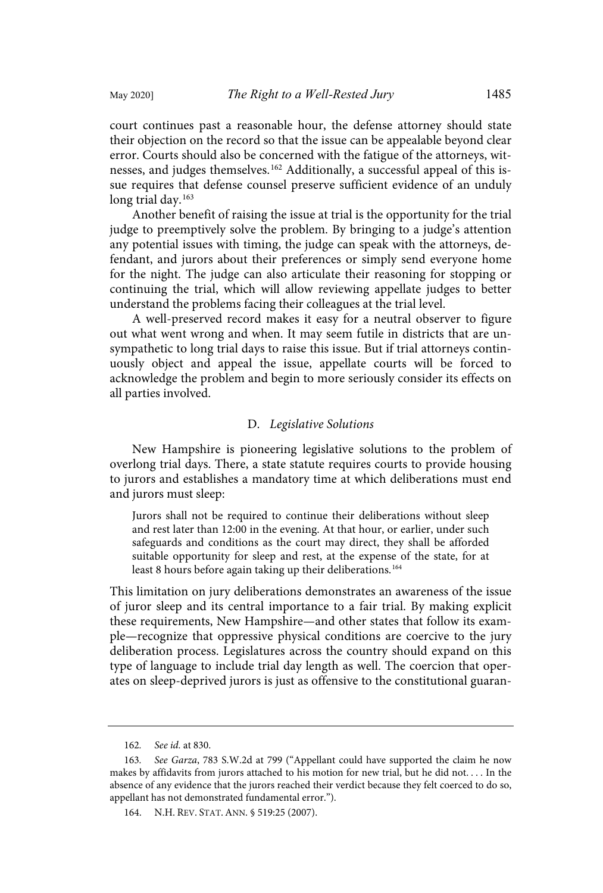court continues past a reasonable hour, the defense attorney should state their objection on the record so that the issue can be appealable beyond clear error. Courts should also be concerned with the fatigue of the attorneys, witnesses, and judges themselves.<sup>162</sup> Additionally, a successful appeal of this issue requires that defense counsel preserve sufficient evidence of an unduly long trial day.<sup>163</sup>

Another benefit of raising the issue at trial is the opportunity for the trial judge to preemptively solve the problem. By bringing to a judge's attention any potential issues with timing, the judge can speak with the attorneys, defendant, and jurors about their preferences or simply send everyone home for the night. The judge can also articulate their reasoning for stopping or continuing the trial, which will allow reviewing appellate judges to better understand the problems facing their colleagues at the trial level.

A well-preserved record makes it easy for a neutral observer to figure out what went wrong and when. It may seem futile in districts that are unsympathetic to long trial days to raise this issue. But if trial attorneys continuously object and appeal the issue, appellate courts will be forced to acknowledge the problem and begin to more seriously consider its effects on all parties involved.

#### D. Legislative Solutions

New Hampshire is pioneering legislative solutions to the problem of overlong trial days. There, a state statute requires courts to provide housing to jurors and establishes a mandatory time at which deliberations must end and jurors must sleep:

Jurors shall not be required to continue their deliberations without sleep and rest later than 12:00 in the evening. At that hour, or earlier, under such safeguards and conditions as the court may direct, they shall be afforded suitable opportunity for sleep and rest, at the expense of the state, for at least 8 hours before again taking up their deliberations.<sup>164</sup>

This limitation on jury deliberations demonstrates an awareness of the issue of juror sleep and its central importance to a fair trial. By making explicit these requirements, New Hampshire—and other states that follow its example—recognize that oppressive physical conditions are coercive to the jury deliberation process. Legislatures across the country should expand on this type of language to include trial day length as well. The coercion that operates on sleep-deprived jurors is just as offensive to the constitutional guaran-

<sup>162</sup>. See id. at 830.

<sup>163</sup>. See Garza, 783 S.W.2d at 799 ("Appellant could have supported the claim he now makes by affidavits from jurors attached to his motion for new trial, but he did not. . . . In the absence of any evidence that the jurors reached their verdict because they felt coerced to do so, appellant has not demonstrated fundamental error.").

<sup>164.</sup> N.H. REV. STAT. ANN. § 519:25 (2007).